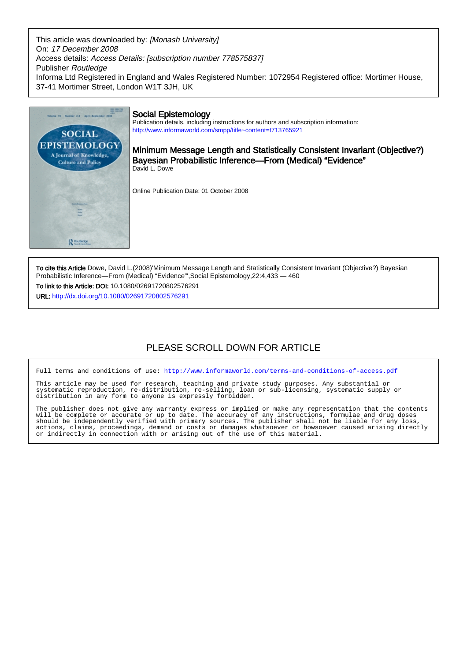This article was downloaded by: [Monash University] On: 17 December 2008 Access details: Access Details: [subscription number 778575837] Publisher Routledge Informa Ltd Registered in England and Wales Registered Number: 1072954 Registered office: Mortimer House, 37-41 Mortimer Street, London W1T 3JH, UK



To cite this Article Dowe, David L.(2008)'Minimum Message Length and Statistically Consistent Invariant (Objective?) Bayesian Probabilistic Inference—From (Medical) "Evidence"',Social Epistemology,22:4,433 — 460

To link to this Article: DOI: 10.1080/02691720802576291 URL: <http://dx.doi.org/10.1080/02691720802576291>

# PLEASE SCROLL DOWN FOR ARTICLE

Full terms and conditions of use:<http://www.informaworld.com/terms-and-conditions-of-access.pdf>

This article may be used for research, teaching and private study purposes. Any substantial or systematic reproduction, re-distribution, re-selling, loan or sub-licensing, systematic supply or distribution in any form to anyone is expressly forbidden.

The publisher does not give any warranty express or implied or make any representation that the contents will be complete or accurate or up to date. The accuracy of any instructions, formulae and drug doses should be independently verified with primary sources. The publisher shall not be liable for any loss, actions, claims, proceedings, demand or costs or damages whatsoever or howsoever caused arising directly or indirectly in connection with or arising out of the use of this material.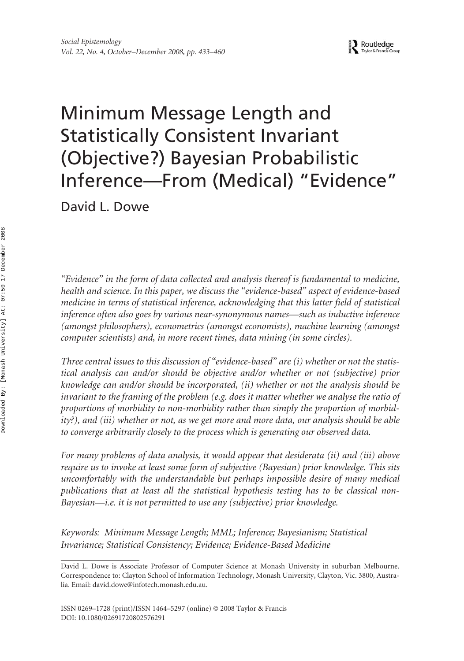# Minimum Message Length and Statistically Consistent Invariant (Objective?) Bayesian Probabilistic Inference—From (Medical) "Evidence"

David L. Dowe

*"Evidence" in the form of data collected and analysis thereof is fundamental to medicine, health and science. In this paper, we discuss the "evidence-based" aspect of evidence-based medicine in terms of statistical inference, acknowledging that this latter field of statistical inference often also goes by various near-synonymous names—such as inductive inference (amongst philosophers), econometrics (amongst economists), machine learning (amongst computer scientists) and, in more recent times, data mining (in some circles).*

*Three central issues to this discussion of "evidence-based" are (i) whether or not the statistical analysis can and/or should be objective and/or whether or not (subjective) prior knowledge can and/or should be incorporated, (ii) whether or not the analysis should be invariant to the framing of the problem (e.g. does it matter whether we analyse the ratio of proportions of morbidity to non-morbidity rather than simply the proportion of morbidity?), and (iii) whether or not, as we get more and more data, our analysis should be able to converge arbitrarily closely to the process which is generating our observed data.*

*For many problems of data analysis, it would appear that desiderata (ii) and (iii) above require us to invoke at least some form of subjective (Bayesian) prior knowledge. This sits uncomfortably with the understandable but perhaps impossible desire of many medical publications that at least all the statistical hypothesis testing has to be classical non-Bayesian—i.e. it is not permitted to use any (subjective) prior knowledge.*

*Keywords: Minimum Message Length; MML; Inference; Bayesianism; Statistical Invariance; Statistical Consistency; Evidence; Evidence-Based Medicine*

David L. Dowe is Associate Professor of Computer Science at Monash University in suburban Melbourne. Correspondence to: Clayton School of Information Technology, Monash University, Clayton, Vic. 3800, Australia. Email: david.dowe@infotech.monash.edu.au.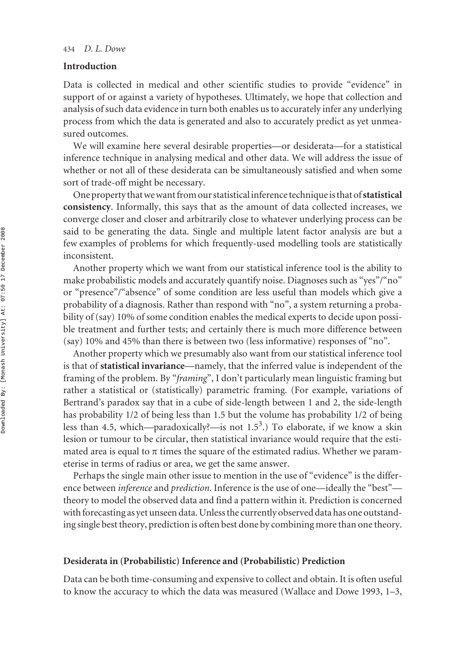# **Introduction**

Data is collected in medical and other scientific studies to provide "evidence" in support of or against a variety of hypotheses. Ultimately, we hope that collection and analysis of such data evidence in turn both enables us to accurately infer any underlying process from which the data is generated and also to accurately predict as yet unmeasured outcomes.

We will examine here several desirable properties—or desiderata—for a statistical inference technique in analysing medical and other data. We will address the issue of whether or not all of these desiderata can be simultaneously satisfied and when some sort of trade-off might be necessary.

One property that we want from our statistical inference technique is that of **statistical consistency**. Informally, this says that as the amount of data collected increases, we converge closer and closer and arbitrarily close to whatever underlying process can be said to be generating the data. Single and multiple latent factor analysis are but a few examples of problems for which frequently-used modelling tools are statistically inconsistent.

Another property which we want from our statistical inference tool is the ability to make probabilistic models and accurately quantify noise. Diagnoses such as "yes"/"no" or "presence"/"absence" of some condition are less useful than models which give a probability of a diagnosis. Rather than respond with "no", a system returning a probability of (say) 10% of some condition enables the medical experts to decide upon possible treatment and further tests; and certainly there is much more difference between (say) 10% and 45% than there is between two (less informative) responses of "no".

Another property which we presumably also want from our statistical inference tool is that of **statistical invariance**—namely, that the inferred value is independent of the framing of the problem. By "*framing*", I don't particularly mean linguistic framing but rather a statistical or (statistically) parametric framing. (For example, variations of Bertrand's paradox say that in a cube of side-length between 1 and 2, the side-length has probability 1/2 of being less than 1.5 but the volume has probability 1/2 of being less than 4.5, which—paradoxically?—is not 1.5<sup>3</sup>.) To elaborate, if we know a skin lesion or tumour to be circular, then statistical invariance would require that the estimated area is equal to  $\pi$  times the square of the estimated radius. Whether we parameterise in terms of radius or area, we get the same answer.

Perhaps the single main other issue to mention in the use of "evidence" is the difference between *inference* and *prediction*. Inference is the use of one—ideally the "best" theory to model the observed data and find a pattern within it. Prediction is concerned with forecasting as yet unseen data. Unless the currently observed data has one outstanding single best theory, prediction is often best done by combining more than one theory.

#### **Desiderata in (Probabilistic) Inference and (Probabilistic) Prediction**

Data can be both time-consuming and expensive to collect and obtain. It is often useful to know the accuracy to which the data was measured (Wallace and Dowe 1993, 1–3,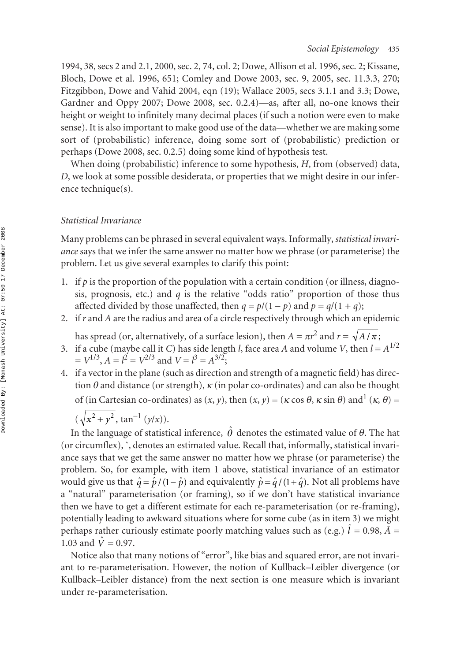1994, 38, secs 2 and 2.1, 2000, sec. 2, 74, col. 2; Dowe, Allison et al. 1996, sec. 2; Kissane, Bloch, Dowe et al. 1996, 651; Comley and Dowe 2003, sec. 9, 2005, sec. 11.3.3, 270; Fitzgibbon, Dowe and Vahid 2004, eqn (19); Wallace 2005, secs 3.1.1 and 3.3; Dowe, Gardner and Oppy 2007; Dowe 2008, sec. 0.2.4)—as, after all, no-one knows their height or weight to infinitely many decimal places (if such a notion were even to make sense). It is also important to make good use of the data—whether we are making some sort of (probabilistic) inference, doing some sort of (probabilistic) prediction or perhaps (Dowe 2008, sec. 0.2.5) doing some kind of hypothesis test.

When doing (probabilistic) inference to some hypothesis, *H*, from (observed) data, *D*, we look at some possible desiderata, or properties that we might desire in our inference technique(s).

#### *Statistical Invariance*

Many problems can be phrased in several equivalent ways. Informally, *statistical invariance* says that we infer the same answer no matter how we phrase (or parameterise) the problem. Let us give several examples to clarify this point:

- 1. if  $p$  is the proportion of the population with a certain condition (or illness, diagnosis, prognosis, etc.) and *q* is the relative "odds ratio" proportion of those thus affected divided by those unaffected, then  $q = p/(1 - p)$  and  $p = q/(1 + q)$ ;
- 2. if *r* and *A* are the radius and area of a circle respectively through which an epidemic

has spread (or, alternatively, of a surface lesion), then  $A = \pi r^2$  and  $r = \sqrt{A/\pi}$ ;

- 3. if a cube (maybe call it *C*) has side length *l*, face area *A* and volume *V*, then  $l = A^{1/2}$  $= V^{1/3}, A = l^2 = V^{2/3}$  and  $V = l^3 = A^{3/2}$ ;
- 4. if a vector in the plane (such as direction and strength of a magnetic field) has direction  $\theta$  and distance (or strength),  $\kappa$  (in polar co-ordinates) and can also be thought

of (in Cartesian co-ordinates) as  $(x, y)$ , then  $(x, y) = (\kappa \cos \theta, \kappa \sin \theta)$  and<sup>1</sup>  $(\kappa, \theta) =$ 

$$
(\sqrt{x^2 + y^2}, \tan^{-1}(y/x)).
$$

In the language of statistical inference,  $\hat{\theta}$  denotes the estimated value of  $\theta.$  The hat (or circumflex), ˆ, denotes an estimated value. Recall that, informally, statistical invariance says that we get the same answer no matter how we phrase (or parameterise) the problem. So, for example, with item 1 above, statistical invariance of an estimator would give us that  $\hat{q} = \hat{p}/(1-\hat{p})$  and equivalently  $\hat{p} = \hat{q}/(1+\hat{q})$ . Not all problems have a "natural" parameterisation (or framing), so if we don't have statistical invariance then we have to get a different estimate for each re-parameterisation (or re-framing), potentially leading to awkward situations where for some cube (as in item 3) we might perhaps rather curiously estimate poorly matching values such as (e.g.)  $\hat{l} = 0.98$ ,  $\tilde{A} = 1.03$  and  $\hat{V} = 0.97$ . 1.03 and  $V = 0.97$ .

Notice also that many notions of "error", like bias and squared error, are not invariant to re-parameterisation. However, the notion of Kullback–Leibler divergence (or Kullback–Leibler distance) from the next section is one measure which is invariant under re-parameterisation.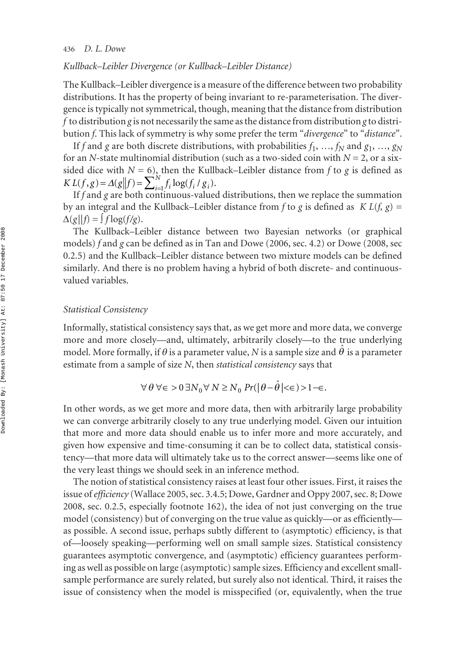#### *Kullback–Leibler Divergence (or Kullback–Leibler Distance)*

The Kullback–Leibler divergence is a measure of the difference between two probability distributions. It has the property of being invariant to re-parameterisation. The divergence is typically not symmetrical, though, meaning that the distance from distribution *f* to distribution *g* is not necessarily the same as the distance from distribution *g* to distribution *f*. This lack of symmetry is why some prefer the term "*divergence*" to "*distance*".

If *f* and *g* are both discrete distributions, with probabilities  $f_1$ , …,  $f_N$  and  $g_1$ , …,  $g_N$ for an *N*-state multinomial distribution (such as a two-sided coin with *N* = 2, or a sixsided dice with  $N = 6$ ), then the Kullback–Leibler distance from  $f$  to  $g$  is defined as  $KL(f, g) = \Delta(g||f) = \sum_{i=1}^{N} f_i \log(f_i/g_i).$ 

If *f* and *g* are both continuous-valued distributions, then we replace the summation by an integral and the Kullback–Leibler distance from f to g is defined as  $KL(f, g)$  =  $\Delta(g||f) = \int f \log(f/g)$ .

The Kullback–Leibler distance between two Bayesian networks (or graphical models) *f* and *g* can be defined as in Tan and Dowe (2006, sec. 4.2) or Dowe (2008, sec 0.2.5) and the Kullback–Leibler distance between two mixture models can be defined similarly. And there is no problem having a hybrid of both discrete- and continuousvalued variables.

#### *Statistical Consistency*

Informally, statistical consistency says that, as we get more and more data, we converge more and more closely—and, ultimately, arbitrarily closely—to the true underlying model. More formally, if  $\theta$  is a parameter value, *N* is a sample size and  $\hat{\theta}$  is a parameter estimate from a sample of size *N*, then *statistical consistency* says that

$$
\forall \theta \,\forall \epsilon > 0 \,\exists N_0 \forall \, N \ge N_0 \, Pr(|\theta - \hat{\theta}| < \epsilon) > 1 - \epsilon.
$$

In other words, as we get more and more data, then with arbitrarily large probability we can converge arbitrarily closely to any true underlying model. Given our intuition that more and more data should enable us to infer more and more accurately, and given how expensive and time-consuming it can be to collect data, statistical consistency—that more data will ultimately take us to the correct answer—seems like one of the very least things we should seek in an inference method.

The notion of statistical consistency raises at least four other issues. First, it raises the issue of *efficiency* (Wallace 2005, sec. 3.4.5; Dowe, Gardner and Oppy 2007, sec. 8; Dowe 2008, sec. 0.2.5, especially footnote 162), the idea of not just converging on the true model (consistency) but of converging on the true value as quickly—or as efficiently as possible. A second issue, perhaps subtly different to (asymptotic) efficiency, is that of—loosely speaking—performing well on small sample sizes. Statistical consistency guarantees asymptotic convergence, and (asymptotic) efficiency guarantees performing as well as possible on large (asymptotic) sample sizes. Efficiency and excellent smallsample performance are surely related, but surely also not identical. Third, it raises the issue of consistency when the model is misspecified (or, equivalently, when the true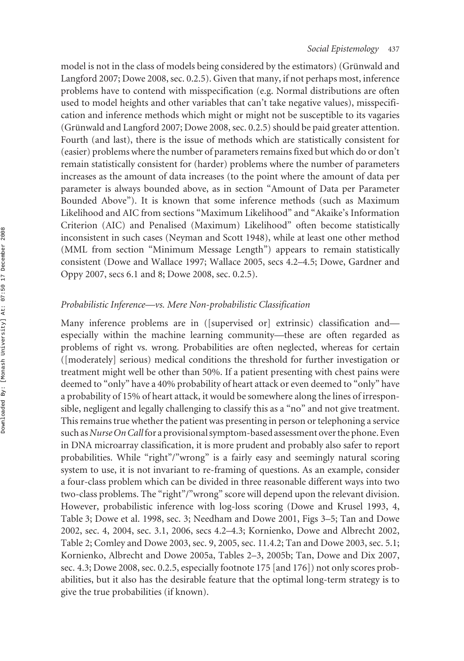model is not in the class of models being considered by the estimators) (Grünwald and Langford 2007; Dowe 2008, sec. 0.2.5). Given that many, if not perhaps most, inference problems have to contend with misspecification (e.g. Normal distributions are often used to model heights and other variables that can't take negative values), misspecification and inference methods which might or might not be susceptible to its vagaries (Grünwald and Langford 2007; Dowe 2008, sec. 0.2.5) should be paid greater attention. Fourth (and last), there is the issue of methods which are statistically consistent for (easier) problems where the number of parameters remains fixed but which do or don't remain statistically consistent for (harder) problems where the number of parameters increases as the amount of data increases (to the point where the amount of data per parameter is always bounded above, as in section "Amount of Data per Parameter Bounded Above"). It is known that some inference methods (such as Maximum Likelihood and AIC from sections "Maximum Likelihood" and "Akaike's Information Criterion (AIC) and Penalised (Maximum) Likelihood" often become statistically inconsistent in such cases (Neyman and Scott 1948), while at least one other method (MML from section "Minimum Message Length") appears to remain statistically consistent (Dowe and Wallace 1997; Wallace 2005, secs 4.2–4.5; Dowe, Gardner and Oppy 2007, secs 6.1 and 8; Dowe 2008, sec. 0.2.5).

# *Probabilistic Inference—vs. Mere Non-probabilistic Classification*

Many inference problems are in ([supervised or] extrinsic) classification and especially within the machine learning community—these are often regarded as problems of right vs. wrong. Probabilities are often neglected, whereas for certain ([moderately] serious) medical conditions the threshold for further investigation or treatment might well be other than 50%. If a patient presenting with chest pains were deemed to "only" have a 40% probability of heart attack or even deemed to "only" have a probability of 15% of heart attack, it would be somewhere along the lines of irresponsible, negligent and legally challenging to classify this as a "no" and not give treatment. This remains true whether the patient was presenting in person or telephoning a service such as *Nurse On Call*for a provisional symptom-based assessment over the phone. Even in DNA microarray classification, it is more prudent and probably also safer to report probabilities. While "right"/"wrong" is a fairly easy and seemingly natural scoring system to use, it is not invariant to re-framing of questions. As an example, consider a four-class problem which can be divided in three reasonable different ways into two two-class problems. The "right"/"wrong" score will depend upon the relevant division. However, probabilistic inference with log-loss scoring (Dowe and Krusel 1993, 4, Table 3; Dowe et al. 1998, sec. 3; Needham and Dowe 2001, Figs 3–5; Tan and Dowe 2002, sec. 4, 2004, sec. 3.1, 2006, secs 4.2–4.3; Kornienko, Dowe and Albrecht 2002, Table 2; Comley and Dowe 2003, sec. 9, 2005, sec. 11.4.2; Tan and Dowe 2003, sec. 5.1; Kornienko, Albrecht and Dowe 2005a, Tables 2–3, 2005b; Tan, Dowe and Dix 2007, sec. 4.3; Dowe 2008, sec. 0.2.5, especially footnote 175 [and 176]) not only scores probabilities, but it also has the desirable feature that the optimal long-term strategy is to give the true probabilities (if known).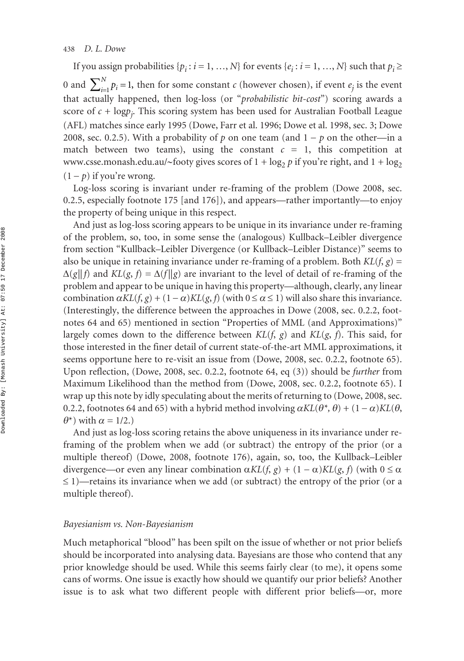#### 438 *D. L. Dowe*

If you assign probabilities  $\{p_i : i = 1, ..., N\}$  for events  $\{e_i : i = 1, ..., N\}$  such that  $p_i \geq$ 0 and  $\sum_{i=1}^{N} p_i = 1$ , then for some constant *c* (however chosen), if event  $e_j$  is the event that actually happened, then log-loss (or "*probabilistic bit-cost*") scoring awards a score of *c* + log*pj* . This scoring system has been used for Australian Football League (AFL) matches since early 1995 (Dowe, Farr et al. 1996; Dowe et al. 1998, sec. 3; Dowe 2008, sec. 0.2.5). With a probability of  $p$  on one team (and  $1 - p$  on the other—in a match between two teams), using the constant  $c = 1$ , this competition at www.csse.monash.edu.au/∼footy gives scores of 1 + log<sub>2</sub> p if you're right, and 1 + log<sub>2</sub>  $(1-p)$  if you're wrong.

Log-loss scoring is invariant under re-framing of the problem (Dowe 2008, sec. 0.2.5, especially footnote 175 [and 176]), and appears—rather importantly—to enjoy the property of being unique in this respect.

And just as log-loss scoring appears to be unique in its invariance under re-framing of the problem, so, too, in some sense the (analogous) Kullback–Leibler divergence from section "Kullback–Leibler Divergence (or Kullback–Leibler Distance)" seems to also be unique in retaining invariance under re-framing of a problem. Both *KL*(*f*, *g*) =  $\Delta(g||f)$  and  $KL(g, f) = \Delta(f||g)$  are invariant to the level of detail of re-framing of the problem and appear to be unique in having this property—although, clearly, any linear combination  $\alpha KL(f, g) + (1 - \alpha)KL(g, f)$  (with  $0 \le \alpha \le 1$ ) will also share this invariance. (Interestingly, the difference between the approaches in Dowe (2008, sec. 0.2.2, footnotes 64 and 65) mentioned in section "Properties of MML (and Approximations)" largely comes down to the difference between  $KL(f, g)$  and  $KL(g, f)$ . This said, for those interested in the finer detail of current state-of-the-art MML approximations, it seems opportune here to re-visit an issue from (Dowe, 2008, sec. 0.2.2, footnote 65). Upon reflection, (Dowe, 2008, sec. 0.2.2, footnote 64, eq (3)) should be *further* from Maximum Likelihood than the method from (Dowe, 2008, sec. 0.2.2, footnote 65). I wrap up this note by idly speculating about the merits of returning to (Dowe, 2008, sec. 0.2.2, footnotes 64 and 65) with a hybrid method involving  $\alpha KL(\theta^*, \theta) + (1 - \alpha)KL(\theta,$  $(\theta^*)$  with  $\alpha = 1/2$ .)

And just as log-loss scoring retains the above uniqueness in its invariance under reframing of the problem when we add (or subtract) the entropy of the prior (or a multiple thereof) (Dowe, 2008, footnote 176), again, so, too, the Kullback–Leibler divergence—or even any linear combination  $\alpha KL(f, g) + (1 - \alpha)KL(g, f)$  (with  $0 \le \alpha$  $\leq$  1)—retains its invariance when we add (or subtract) the entropy of the prior (or a multiple thereof).

#### *Bayesianism vs. Non-Bayesianism*

Much metaphorical "blood" has been spilt on the issue of whether or not prior beliefs should be incorporated into analysing data. Bayesians are those who contend that any prior knowledge should be used. While this seems fairly clear (to me), it opens some cans of worms. One issue is exactly how should we quantify our prior beliefs? Another issue is to ask what two different people with different prior beliefs—or, more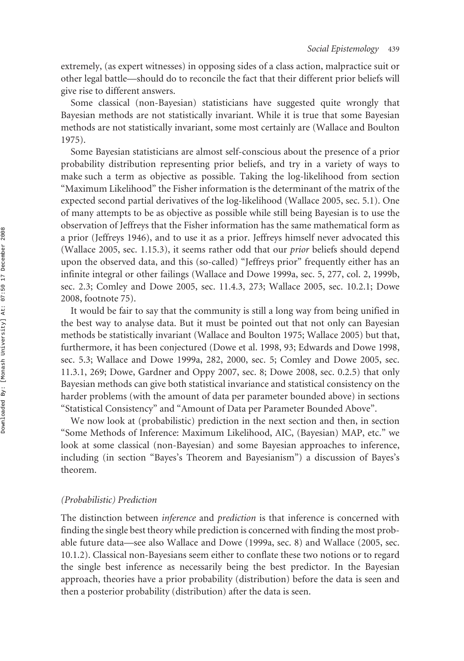extremely, (as expert witnesses) in opposing sides of a class action, malpractice suit or other legal battle—should do to reconcile the fact that their different prior beliefs will give rise to different answers.

Some classical (non-Bayesian) statisticians have suggested quite wrongly that Bayesian methods are not statistically invariant. While it is true that some Bayesian methods are not statistically invariant, some most certainly are (Wallace and Boulton 1975).

Some Bayesian statisticians are almost self-conscious about the presence of a prior probability distribution representing prior beliefs, and try in a variety of ways to make such a term as objective as possible. Taking the log-likelihood from section "Maximum Likelihood" the Fisher information is the determinant of the matrix of the expected second partial derivatives of the log-likelihood (Wallace 2005, sec. 5.1). One of many attempts to be as objective as possible while still being Bayesian is to use the observation of Jeffreys that the Fisher information has the same mathematical form as a prior (Jeffreys 1946), and to use it as a prior. Jeffreys himself never advocated this (Wallace 2005, sec. 1.15.3), it seems rather odd that our *prior* beliefs should depend upon the observed data, and this (so-called) "Jeffreys prior" frequently either has an infinite integral or other failings (Wallace and Dowe 1999a, sec. 5, 277, col. 2, 1999b, sec. 2.3; Comley and Dowe 2005, sec. 11.4.3, 273; Wallace 2005, sec. 10.2.1; Dowe 2008, footnote 75).

It would be fair to say that the community is still a long way from being unified in the best way to analyse data. But it must be pointed out that not only can Bayesian methods be statistically invariant (Wallace and Boulton 1975; Wallace 2005) but that, furthermore, it has been conjectured (Dowe et al. 1998, 93; Edwards and Dowe 1998, sec. 5.3; Wallace and Dowe 1999a, 282, 2000, sec. 5; Comley and Dowe 2005, sec. 11.3.1, 269; Dowe, Gardner and Oppy 2007, sec. 8; Dowe 2008, sec. 0.2.5) that only Bayesian methods can give both statistical invariance and statistical consistency on the harder problems (with the amount of data per parameter bounded above) in sections "Statistical Consistency" and "Amount of Data per Parameter Bounded Above".

We now look at (probabilistic) prediction in the next section and then, in section "Some Methods of Inference: Maximum Likelihood, AIC, (Bayesian) MAP, etc." we look at some classical (non-Bayesian) and some Bayesian approaches to inference, including (in section "Bayes's Theorem and Bayesianism") a discussion of Bayes's theorem.

#### *(Probabilistic) Prediction*

The distinction between *inference* and *prediction* is that inference is concerned with finding the single best theory while prediction is concerned with finding the most probable future data—see also Wallace and Dowe (1999a, sec. 8) and Wallace (2005, sec. 10.1.2). Classical non-Bayesians seem either to conflate these two notions or to regard the single best inference as necessarily being the best predictor. In the Bayesian approach, theories have a prior probability (distribution) before the data is seen and then a posterior probability (distribution) after the data is seen.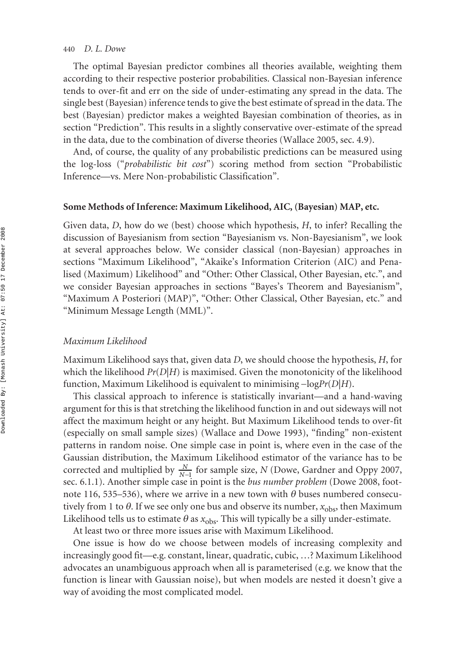#### 440 *D. L. Dowe*

The optimal Bayesian predictor combines all theories available, weighting them according to their respective posterior probabilities. Classical non-Bayesian inference tends to over-fit and err on the side of under-estimating any spread in the data. The single best (Bayesian) inference tends to give the best estimate of spread in the data. The best (Bayesian) predictor makes a weighted Bayesian combination of theories, as in section "Prediction". This results in a slightly conservative over-estimate of the spread in the data, due to the combination of diverse theories (Wallace 2005, sec. 4.9).

And, of course, the quality of any probabilistic predictions can be measured using the log-loss ("*probabilistic bit cost*") scoring method from section "Probabilistic Inference—vs. Mere Non-probabilistic Classification".

#### **Some Methods of Inference: Maximum Likelihood, AIC, (Bayesian) MAP, etc.**

Given data, *D*, how do we (best) choose which hypothesis, *H*, to infer? Recalling the discussion of Bayesianism from section "Bayesianism vs. Non-Bayesianism", we look at several approaches below. We consider classical (non-Bayesian) approaches in sections "Maximum Likelihood", "Akaike's Information Criterion (AIC) and Penalised (Maximum) Likelihood" and "Other: Other Classical, Other Bayesian, etc.", and we consider Bayesian approaches in sections "Bayes's Theorem and Bayesianism", "Maximum A Posteriori (MAP)", "Other: Other Classical, Other Bayesian, etc." and "Minimum Message Length (MML)".

#### *Maximum Likelihood*

Maximum Likelihood says that, given data *D*, we should choose the hypothesis, *H*, for which the likelihood  $Pr(D|H)$  is maximised. Given the monotonicity of the likelihood function, Maximum Likelihood is equivalent to minimising −log*Pr*(*D*|*H*).

This classical approach to inference is statistically invariant—and a hand-waving argument for this is that stretching the likelihood function in and out sideways will not affect the maximum height or any height. But Maximum Likelihood tends to over-fit (especially on small sample sizes) (Wallace and Dowe 1993), "finding" non-existent patterns in random noise. One simple case in point is, where even in the case of the Gaussian distribution, the Maximum Likelihood estimator of the variance has to be corrected and multiplied by  $\frac{N}{N-1}$  for sample size, *N* (Dowe, Gardner and Oppy 2007, sec. 6.1.1). Another simple case in point is the *bus number problem* (Dowe 2008, footnote 116, 535–536), where we arrive in a new town with  $\theta$  buses numbered consecutively from 1 to  $\theta$ . If we see only one bus and observe its number,  $x_{\text{obs}}$ , then Maximum Likelihood tells us to estimate  $\theta$  as  $x_{\text{obs}}$ . This will typically be a silly under-estimate.

At least two or three more issues arise with Maximum Likelihood.

One issue is how do we choose between models of increasing complexity and increasingly good fit—e.g. constant, linear, quadratic, cubic, …? Maximum Likelihood advocates an unambiguous approach when all is parameterised (e.g. we know that the function is linear with Gaussian noise), but when models are nested it doesn't give a way of avoiding the most complicated model.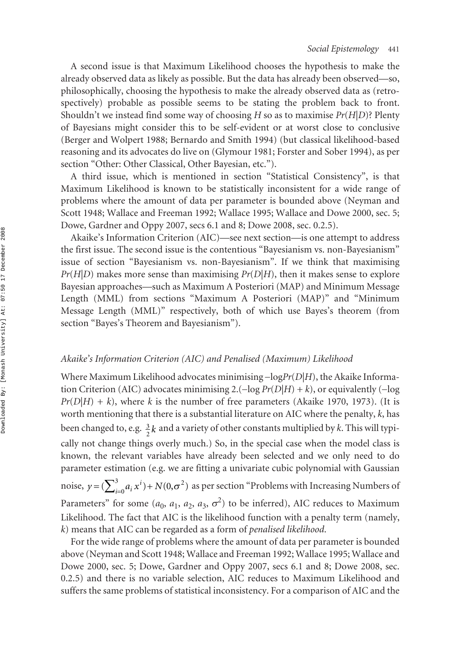A second issue is that Maximum Likelihood chooses the hypothesis to make the already observed data as likely as possible. But the data has already been observed—so, philosophically, choosing the hypothesis to make the already observed data as (retrospectively) probable as possible seems to be stating the problem back to front. Shouldn't we instead find some way of choosing *H* so as to maximise *Pr*(*H*|*D*)? Plenty of Bayesians might consider this to be self-evident or at worst close to conclusive (Berger and Wolpert 1988; Bernardo and Smith 1994) (but classical likelihood-based reasoning and its advocates do live on (Glymour 1981; Forster and Sober 1994), as per section "Other: Other Classical, Other Bayesian, etc.").

A third issue, which is mentioned in section "Statistical Consistency", is that Maximum Likelihood is known to be statistically inconsistent for a wide range of problems where the amount of data per parameter is bounded above (Neyman and Scott 1948; Wallace and Freeman 1992; Wallace 1995; Wallace and Dowe 2000, sec. 5; Dowe, Gardner and Oppy 2007, secs 6.1 and 8; Dowe 2008, sec. 0.2.5).

Akaike's Information Criterion (AIC)—see next section—is one attempt to address the first issue. The second issue is the contentious "Bayesianism vs. non-Bayesianism" issue of section "Bayesianism vs. non-Bayesianism". If we think that maximising  $Pr(H|D)$  makes more sense than maximising  $Pr(D|H)$ , then it makes sense to explore Bayesian approaches—such as Maximum A Posteriori (MAP) and Minimum Message Length (MML) from sections "Maximum A Posteriori (MAP)" and "Minimum Message Length (MML)" respectively, both of which use Bayes's theorem (from section "Bayes's Theorem and Bayesianism").

#### *Akaike's Information Criterion (AIC) and Penalised (Maximum) Likelihood*

Where Maximum Likelihood advocates minimising −log*Pr*(*D*|*H*), the Akaike Information Criterion (AIC) advocates minimising 2.(−log *Pr*(*D*|*H*) + *k*), or equivalently (−log  $Pr(D|H) + k$ ), where *k* is the number of free parameters (Akaike 1970, 1973). (It is worth mentioning that there is a substantial literature on AIC where the penalty, *k*, has been changed to, e.g.  $\frac{3}{2}k$  and a variety of other constants multiplied by *k*. This will typically not change things overly much.) So, in the special case when the model class is known, the relevant variables have already been selected and we only need to do parameter estimation (e.g. we are fitting a univariate cubic polynomial with Gaussian noise,  $y = (\sum_{i=0}^{3} a_i x^i) + N(0, \sigma^2)$  as per section "Problems with Increasing Numbers of Parameters" for some  $(a_0, a_1, a_2, a_3, \sigma^2)$  to be inferred), AIC reduces to Maximum Likelihood. The fact that AIC is the likelihood function with a penalty term (namely, *k*) means that AIC can be regarded as a form of *penalised likelihood*.

For the wide range of problems where the amount of data per parameter is bounded above (Neyman and Scott 1948; Wallace and Freeman 1992; Wallace 1995; Wallace and Dowe 2000, sec. 5; Dowe, Gardner and Oppy 2007, secs 6.1 and 8; Dowe 2008, sec. 0.2.5) and there is no variable selection, AIC reduces to Maximum Likelihood and suffers the same problems of statistical inconsistency. For a comparison of AIC and the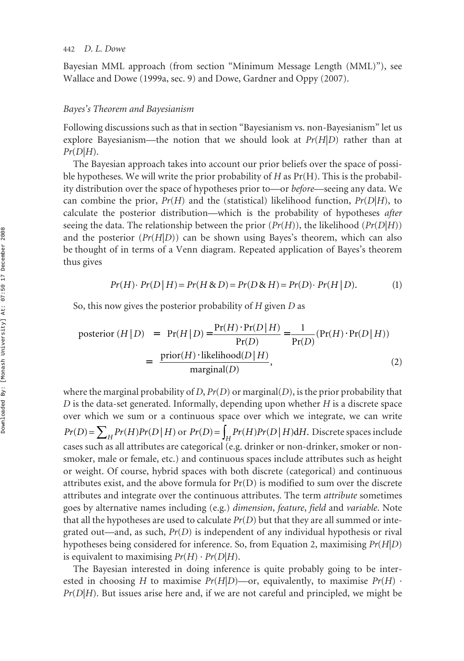Bayesian MML approach (from section "Minimum Message Length (MML)"), see Wallace and Dowe (1999a, sec. 9) and Dowe, Gardner and Oppy (2007).

#### *Bayes's Theorem and Bayesianism*

Following discussions such as that in section "Bayesianism vs. non-Bayesianism" let us explore Bayesianism—the notion that we should look at  $Pr(H|D)$  rather than at *Pr*(*D*|*H*).

The Bayesian approach takes into account our prior beliefs over the space of possible hypotheses. We will write the prior probability of *H* as Pr(H). This is the probability distribution over the space of hypotheses prior to—or *before*—seeing any data. We can combine the prior,  $Pr(H)$  and the (statistical) likelihood function,  $Pr(D|H)$ , to calculate the posterior distribution—which is the probability of hypotheses *after* seeing the data. The relationship between the prior  $(Pr(H))$ , the likelihood  $(Pr(D|H))$ and the posterior  $(\Pr(H|D))$  can be shown using Bayes's theorem, which can also be thought of in terms of a Venn diagram. Repeated application of Bayes's theorem thus gives

$$
Pr(H) \cdot Pr(D | H) = Pr(H \& D) = Pr(D \& H) = Pr(D) \cdot Pr(H | D). \tag{1}
$$

So, this now gives the posterior probability of *H* given *D* as

posterior 
$$
(H|D) = Pr(H|D) = \frac{Pr(H) \cdot Pr(D|H)}{Pr(D)} = \frac{1}{Pr(D)}(Pr(H) \cdot Pr(D|H))
$$
  
=  $\frac{prior(H) \cdot likelihood(D|H)}{marginal(D)},$  (2)

where the marginal probability of *D*,  $Pr(D)$  or marginal(*D*), is the prior probability that *D* is the data-set generated. Informally, depending upon whether *H* is a discrete space over which we sum or a continuous space over which we integrate, we can write  $Pr(D) = \sum_{H} Pr(H) Pr(D | H)$  or  $Pr(D) = \int_{H} Pr(H) Pr(D | H) dH$ . Discrete spaces include cases such as all attributes are categorical (e.g. drinker or non-drinker, smoker or nonsmoker, male or female, etc.) and continuous spaces include attributes such as height or weight. Of course, hybrid spaces with both discrete (categorical) and continuous attributes exist, and the above formula for Pr(D) is modified to sum over the discrete attributes and integrate over the continuous attributes. The term *attribute* sometimes goes by alternative names including (e.g.) *dimension*, *feature*, *field* and *variable*. Note that all the hypotheses are used to calculate *Pr*(*D*) but that they are all summed or integrated out—and, as such, *Pr*(*D*) is independent of any individual hypothesis or rival hypotheses being considered for inference. So, from Equation 2, maximising *Pr*(*H*|*D*) is equivalent to maximising  $Pr(H) \cdot Pr(D|H)$ .

The Bayesian interested in doing inference is quite probably going to be interested in choosing *H* to maximise *Pr*(*H*|*D*)—or, equivalently, to maximise  $Pr(H)$  · *Pr*(*D*|*H*). But issues arise here and, if we are not careful and principled, we might be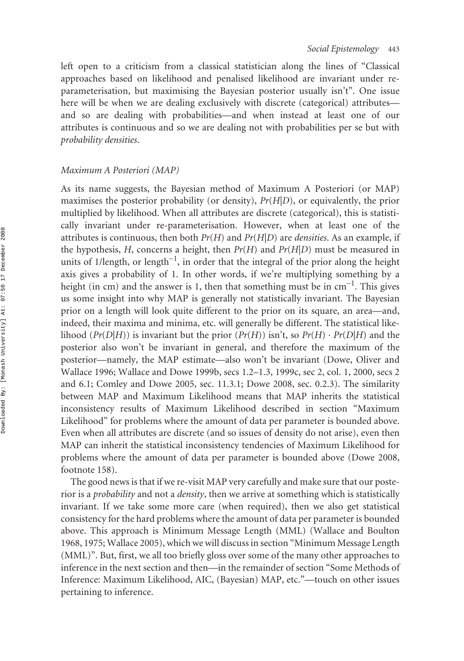left open to a criticism from a classical statistician along the lines of "Classical approaches based on likelihood and penalised likelihood are invariant under reparameterisation, but maximising the Bayesian posterior usually isn't". One issue here will be when we are dealing exclusively with discrete (categorical) attributes and so are dealing with probabilities—and when instead at least one of our attributes is continuous and so we are dealing not with probabilities per se but with *probability densities*.

# *Maximum A Posteriori (MAP)*

As its name suggests, the Bayesian method of Maximum A Posteriori (or MAP) maximises the posterior probability (or density), *Pr*(*H*|*D*), or equivalently, the prior multiplied by likelihood. When all attributes are discrete (categorical), this is statistically invariant under re-parameterisation. However, when at least one of the attributes is continuous, then both *Pr*(*H*) and *Pr*(*H*|*D*) are *densities*. As an example, if the hypothesis, *H*, concerns a height, then  $Pr(H)$  and  $Pr(H|D)$  must be measured in units of 1/length, or length<sup>-1</sup>, in order that the integral of the prior along the height axis gives a probability of 1. In other words, if we're multiplying something by a height (in cm) and the answer is 1, then that something must be in cm<sup>-1</sup>. This gives us some insight into why MAP is generally not statistically invariant. The Bayesian prior on a length will look quite different to the prior on its square, an area—and, indeed, their maxima and minima, etc. will generally be different. The statistical likelihood ( $Pr(D|H)$ ) is invariant but the prior ( $Pr(H)$ ) isn't, so  $Pr(H) \cdot Pr(D|H)$  and the posterior also won't be invariant in general, and therefore the maximum of the posterior—namely, the MAP estimate—also won't be invariant (Dowe, Oliver and Wallace 1996; Wallace and Dowe 1999b, secs 1.2–1.3, 1999c, sec 2, col. 1, 2000, secs 2 and 6.1; Comley and Dowe 2005, sec. 11.3.1; Dowe 2008, sec. 0.2.3). The similarity between MAP and Maximum Likelihood means that MAP inherits the statistical inconsistency results of Maximum Likelihood described in section "Maximum Likelihood" for problems where the amount of data per parameter is bounded above. Even when all attributes are discrete (and so issues of density do not arise), even then MAP can inherit the statistical inconsistency tendencies of Maximum Likelihood for problems where the amount of data per parameter is bounded above (Dowe 2008, footnote 158).

The good news is that if we re-visit MAP very carefully and make sure that our posterior is a *probability* and not a *density*, then we arrive at something which is statistically invariant. If we take some more care (when required), then we also get statistical consistency for the hard problems where the amount of data per parameter is bounded above. This approach is Minimum Message Length (MML) (Wallace and Boulton 1968, 1975; Wallace 2005), which we will discuss in section "Minimum Message Length (MML)". But, first, we all too briefly gloss over some of the many other approaches to inference in the next section and then—in the remainder of section "Some Methods of Inference: Maximum Likelihood, AIC, (Bayesian) MAP, etc."—touch on other issues pertaining to inference.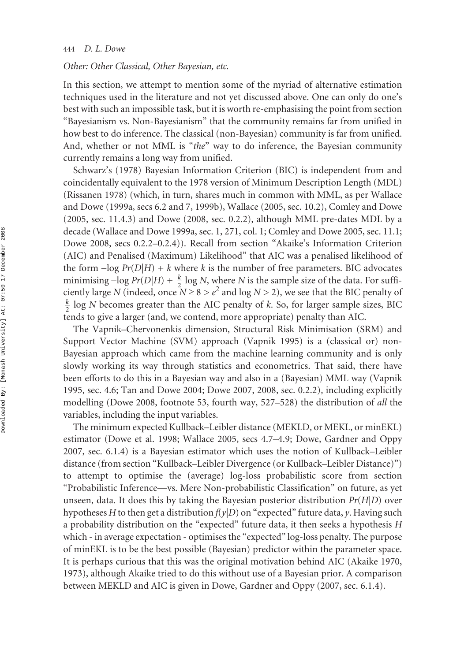#### *Other: Other Classical, Other Bayesian, etc.*

In this section, we attempt to mention some of the myriad of alternative estimation techniques used in the literature and not yet discussed above. One can only do one's best with such an impossible task, but it is worth re-emphasising the point from section "Bayesianism vs. Non-Bayesianism" that the community remains far from unified in how best to do inference. The classical (non-Bayesian) community is far from unified. And, whether or not MML is "*the*" way to do inference, the Bayesian community currently remains a long way from unified.

Schwarz's (1978) Bayesian Information Criterion (BIC) is independent from and coincidentally equivalent to the 1978 version of Minimum Description Length (MDL) (Rissanen 1978) (which, in turn, shares much in common with MML, as per Wallace and Dowe (1999a, secs 6.2 and 7, 1999b), Wallace (2005, sec. 10.2), Comley and Dowe (2005, sec. 11.4.3) and Dowe (2008, sec. 0.2.2), although MML pre-dates MDL by a decade (Wallace and Dowe 1999a, sec. 1, 271, col. 1; Comley and Dowe 2005, sec. 11.1; Dowe 2008, secs 0.2.2–0.2.4)). Recall from section "Akaike's Information Criterion (AIC) and Penalised (Maximum) Likelihood" that AIC was a penalised likelihood of the form  $-\log Pr(D|H) + k$  where *k* is the number of free parameters. BIC advocates minimising  $-\log Pr(D|H) + \frac{k}{2} \log N$ , where *N* is the sample size of the data. For sufficiently large *N* (indeed, once  $N \ge 8 > e^2$  and log  $N > 2$ ), we see that the BIC penalty of  $\frac{k}{2}$  log *N* becomes greater than the AIC penalty of *k*. So, for larger sample sizes, BIC tends to give a larger (and, we contend, more appropriate) penalty than AIC. 2 2

The Vapnik–Chervonenkis dimension, Structural Risk Minimisation (SRM) and Support Vector Machine (SVM) approach (Vapnik 1995) is a (classical or) non-Bayesian approach which came from the machine learning community and is only slowly working its way through statistics and econometrics. That said, there have been efforts to do this in a Bayesian way and also in a (Bayesian) MML way (Vapnik 1995, sec. 4.6; Tan and Dowe 2004; Dowe 2007, 2008, sec. 0.2.2), including explicitly modelling (Dowe 2008, footnote 53, fourth way, 527–528) the distribution of *all* the variables, including the input variables.

The minimum expected Kullback–Leibler distance (MEKLD, or MEKL, or minEKL) estimator (Dowe et al. 1998; Wallace 2005, secs 4.7–4.9; Dowe, Gardner and Oppy 2007, sec. 6.1.4) is a Bayesian estimator which uses the notion of Kullback–Leibler distance (from section "Kullback–Leibler Divergence (or Kullback–Leibler Distance)") to attempt to optimise the (average) log-loss probabilistic score from section "Probabilistic Inference—vs. Mere Non-probabilistic Classification" on future, as yet unseen, data. It does this by taking the Bayesian posterior distribution *Pr*(*H*|*D*) over hypotheses *H* to then get a distribution *f*(*y*|*D*) on "expected" future data, *y*. Having such a probability distribution on the "expected" future data, it then seeks a hypothesis *H* which - in average expectation - optimises the "expected" log-loss penalty. The purpose of minEKL is to be the best possible (Bayesian) predictor within the parameter space. It is perhaps curious that this was the original motivation behind AIC (Akaike 1970, 1973), although Akaike tried to do this without use of a Bayesian prior. A comparison between MEKLD and AIC is given in Dowe, Gardner and Oppy (2007, sec. 6.1.4).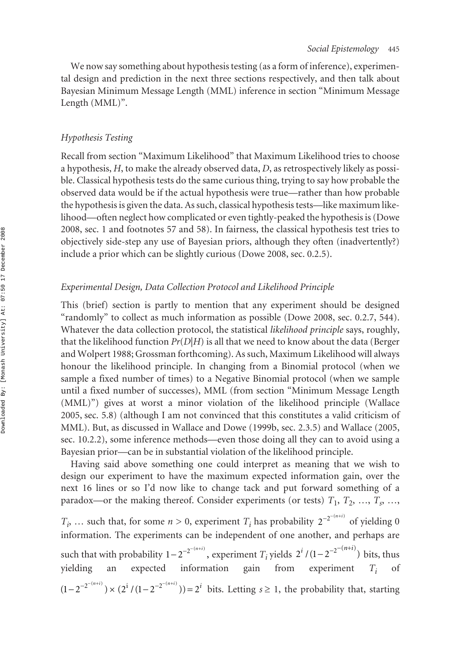We now say something about hypothesis testing (as a form of inference), experimental design and prediction in the next three sections respectively, and then talk about Bayesian Minimum Message Length (MML) inference in section "Minimum Message Length (MML)".

# *Hypothesis Testing*

Recall from section "Maximum Likelihood" that Maximum Likelihood tries to choose a hypothesis, *H*, to make the already observed data, *D*, as retrospectively likely as possible. Classical hypothesis tests do the same curious thing, trying to say how probable the observed data would be if the actual hypothesis were true—rather than how probable the hypothesis is given the data. As such, classical hypothesis tests—like maximum likelihood—often neglect how complicated or even tightly-peaked the hypothesis is (Dowe 2008, sec. 1 and footnotes 57 and 58). In fairness, the classical hypothesis test tries to objectively side-step any use of Bayesian priors, although they often (inadvertently?) include a prior which can be slightly curious (Dowe 2008, sec. 0.2.5).

## *Experimental Design, Data Collection Protocol and Likelihood Principle*

This (brief) section is partly to mention that any experiment should be designed "randomly" to collect as much information as possible (Dowe 2008, sec. 0.2.7, 544). Whatever the data collection protocol, the statistical *likelihood principle* says, roughly, that the likelihood function  $Pr(D|H)$  is all that we need to know about the data (Berger and Wolpert 1988; Grossman forthcoming). As such, Maximum Likelihood will always honour the likelihood principle. In changing from a Binomial protocol (when we sample a fixed number of times) to a Negative Binomial protocol (when we sample until a fixed number of successes), MML (from section "Minimum Message Length (MML)") gives at worst a minor violation of the likelihood principle (Wallace 2005, sec. 5.8) (although I am not convinced that this constitutes a valid criticism of MML). But, as discussed in Wallace and Dowe (1999b, sec. 2.3.5) and Wallace (2005, sec. 10.2.2), some inference methods—even those doing all they can to avoid using a Bayesian prior—can be in substantial violation of the likelihood principle.

Having said above something one could interpret as meaning that we wish to design our experiment to have the maximum expected information gain, over the next 16 lines or so I'd now like to change tack and put forward something of a paradox—or the making thereof. Consider experiments (or tests)  $T_1, T_2, ..., T_s, ...,$  $T_i$ , ... such that, for some  $n > 0$ , experiment  $T_i$  has probability  $2^{-2^{-(n+i)}}$  of yielding 0 information. The experiments can be independent of one another, and perhaps are such that with probability  $1 - 2^{-2^{-(n+i)}}$ , experiment  $T_i$  yields  $2^i / (1 - 2^{-2^{-(n+i)}})$  bits, thus yielding an expected information gain from experiment *Ti* of  $(1-2^{-2^{-(n+i)}}) \times (2^i / (1-2^{-2^{-(n+i)}})) = 2^i$  bits. Letting  $s \ge 1$ , the probability that, starting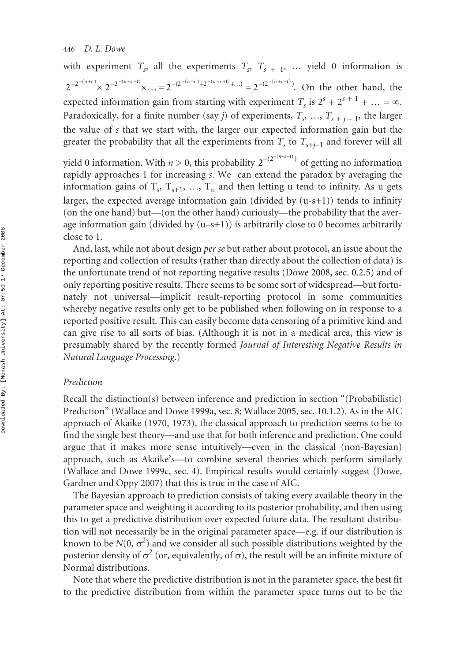with experiment  $T_s$ , all the experiments  $T_s$ ,  $T_{s+1}$ , ... yield 0 information is  $2^{-2^{-(n+s)}} \times 2^{-2^{-(n+s+1)}} \times \ldots = 2^{-(2^{-(n+s)})+2^{-(n+s+1)}+ \ldots)} = 2^{-(2^{-(n+s-1)})}$ . On the other hand, the expected information gain from starting with experiment  $T_s$  is  $2^s + 2^{s+1} + ... = \infty$ . Paradoxically, for a finite number (say *j*) of experiments,  $T_s$ , …,  $T_{s+1}$ <sub>1</sub>, the larger the value of *s* that we start with, the larger our expected information gain but the greater the probability that all the experiments from  $T_s$  to  $T_{s+j-1}$  and forever will all

yield 0 information. With *n* > 0, this probability  $2^{-(2^{-(n+s-1)})}$  of getting no information rapidly approaches 1 for increasing *s*. We can extend the paradox by averaging the information gains of  $T_s$ ,  $T_{s+1}$ , ...,  $T_u$  and then letting u tend to infinity. As u gets larger, the expected average information gain (divided by  $(u-s+1)$ ) tends to infinity (on the one hand) but—(on the other hand) curiously—the probability that the average information gain (divided by  $(u-s+1)$ ) is arbitrarily close to 0 becomes arbitrarily close to 1.

And, last, while not about design *per se* but rather about protocol, an issue about the reporting and collection of results (rather than directly about the collection of data) is the unfortunate trend of not reporting negative results (Dowe 2008, sec. 0.2.5) and of only reporting positive results. There seems to be some sort of widespread—but fortunately not universal—implicit result-reporting protocol in some communities whereby negative results only get to be published when following on in response to a reported positive result. This can easily become data censoring of a primitive kind and can give rise to all sorts of bias. (Although it is not in a medical area, this view is presumably shared by the recently formed *Journal of Interesting Negative Results in Natural Language Processing*.)

# *Prediction*

Recall the distinction(s) between inference and prediction in section "(Probabilistic) Prediction" (Wallace and Dowe 1999a, sec. 8; Wallace 2005, sec. 10.1.2). As in the AIC approach of Akaike (1970, 1973), the classical approach to prediction seems to be to find the single best theory—and use that for both inference and prediction. One could argue that it makes more sense intuitively—even in the classical (non-Bayesian) approach, such as Akaike's—to combine several theories which perform similarly (Wallace and Dowe 1999c, sec. 4). Empirical results would certainly suggest (Dowe, Gardner and Oppy 2007) that this is true in the case of AIC.

The Bayesian approach to prediction consists of taking every available theory in the parameter space and weighting it according to its posterior probability, and then using this to get a predictive distribution over expected future data. The resultant distribution will not necessarily be in the original parameter space—e.g. if our distribution is known to be  $N(0, \sigma^2)$  and we consider all such possible distributions weighted by the posterior density of  $\sigma^2$  (or, equivalently, of  $\sigma$ ), the result will be an infinite mixture of Normal distributions.

Note that where the predictive distribution is not in the parameter space, the best fit to the predictive distribution from within the parameter space turns out to be the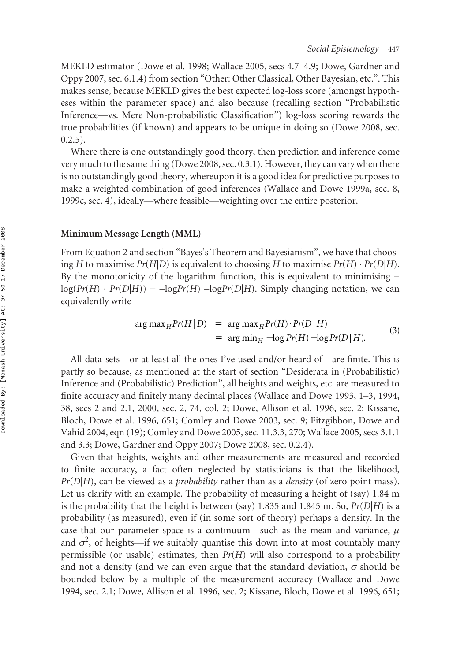MEKLD estimator (Dowe et al. 1998; Wallace 2005, secs 4.7–4.9; Dowe, Gardner and Oppy 2007, sec. 6.1.4) from section "Other: Other Classical, Other Bayesian, etc.". This makes sense, because MEKLD gives the best expected log-loss score (amongst hypotheses within the parameter space) and also because (recalling section "Probabilistic Inference—vs. Mere Non-probabilistic Classification") log-loss scoring rewards the true probabilities (if known) and appears to be unique in doing so (Dowe 2008, sec.  $0.2.5$ ).

Where there is one outstandingly good theory, then prediction and inference come very much to the same thing (Dowe 2008, sec. 0.3.1). However, they can vary when there is no outstandingly good theory, whereupon it is a good idea for predictive purposes to make a weighted combination of good inferences (Wallace and Dowe 1999a, sec. 8, 1999c, sec. 4), ideally—where feasible—weighting over the entire posterior.

#### **Minimum Message Length (MML)**

From Equation 2 and section "Bayes's Theorem and Bayesianism", we have that choosing *H* to maximise  $Pr(H|D)$  is equivalent to choosing *H* to maximise  $Pr(H) \cdot Pr(D|H)$ . By the monotonicity of the logarithm function, this is equivalent to minimising −  $log(Pr(H) \cdot Pr(D|H)) = -logPr(H) - logPr(D|H)$ . Simply changing notation, we can equivalently write

$$
\arg \max_{H} Pr(H|D) = \arg \max_{H} Pr(H) \cdot Pr(D|H)
$$
  
= 
$$
\arg \min_{H} -\log Pr(H) - \log Pr(D|H).
$$
 (3)

All data-sets—or at least all the ones I've used and/or heard of—are finite. This is partly so because, as mentioned at the start of section "Desiderata in (Probabilistic) Inference and (Probabilistic) Prediction", all heights and weights, etc. are measured to finite accuracy and finitely many decimal places (Wallace and Dowe 1993, 1–3, 1994, 38, secs 2 and 2.1, 2000, sec. 2, 74, col. 2; Dowe, Allison et al. 1996, sec. 2; Kissane, Bloch, Dowe et al. 1996, 651; Comley and Dowe 2003, sec. 9; Fitzgibbon, Dowe and Vahid 2004, eqn (19); Comley and Dowe 2005, sec. 11.3.3, 270; Wallace 2005, secs 3.1.1 and 3.3; Dowe, Gardner and Oppy 2007; Dowe 2008, sec. 0.2.4).

Given that heights, weights and other measurements are measured and recorded to finite accuracy, a fact often neglected by statisticians is that the likelihood, *Pr*(*D*|*H*), can be viewed as a *probability* rather than as a *density* (of zero point mass). Let us clarify with an example. The probability of measuring a height of (say) 1.84 m is the probability that the height is between (say) 1.835 and 1.845 m. So,  $Pr(D|H)$  is a probability (as measured), even if (in some sort of theory) perhaps a density. In the case that our parameter space is a continuum—such as the mean and variance,  $\mu$ and  $\sigma^2$ , of heights—if we suitably quantise this down into at most countably many permissible (or usable) estimates, then *Pr*(*H*) will also correspond to a probability and not a density (and we can even argue that the standard deviation,  $\sigma$  should be bounded below by a multiple of the measurement accuracy (Wallace and Dowe 1994, sec. 2.1; Dowe, Allison et al. 1996, sec. 2; Kissane, Bloch, Dowe et al. 1996, 651;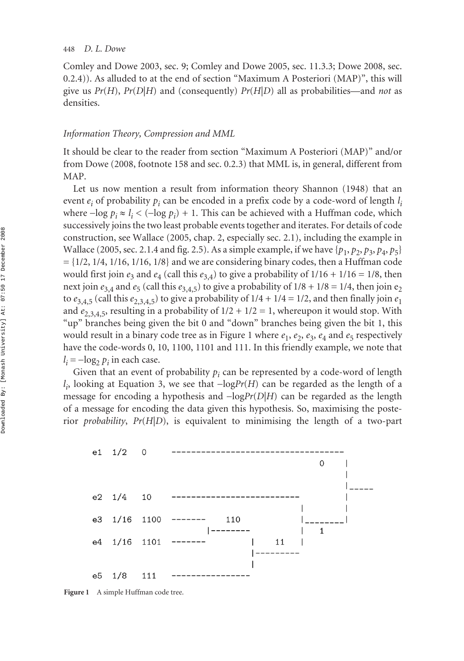Comley and Dowe 2003, sec. 9; Comley and Dowe 2005, sec. 11.3.3; Dowe 2008, sec. 0.2.4)). As alluded to at the end of section "Maximum A Posteriori (MAP)", this will give us *Pr*(*H*), *Pr*(*D*|*H*) and (consequently) *Pr*(*H*|*D*) all as probabilities—and *not* as densities.

#### *Information Theory, Compression and MML*

It should be clear to the reader from section "Maximum A Posteriori (MAP)" and/or from Dowe (2008, footnote 158 and sec. 0.2.3) that MML is, in general, different from MAP.

Let us now mention a result from information theory Shannon (1948) that an event *ei* of probability *pi* can be encoded in a prefix code by a code-word of length *l i* where −log *pi* ≈ *l <sup>i</sup>* < (−log *pi* ) + 1. This can be achieved with a Huffman code, which successively joins the two least probable events together and iterates. For details of code construction, see Wallace (2005, chap. 2, especially sec. 2.1), including the example in Wallace (2005, sec. 2.1.4 and fig. 2.5). As a simple example, if we have  $\{p_1, p_2, p_3, p_4, p_5\}$  $= \{1/2, 1/4, 1/16, 1/16, 1/8\}$  and we are considering binary codes, then a Huffman code would first join  $e_3$  and  $e_4$  (call this  $e_{3,4}$ ) to give a probability of  $1/16 + 1/16 = 1/8$ , then next join  $e_{3,4}$  and  $e_5$  (call this  $e_{3,4,5}$ ) to give a probability of  $1/8 + 1/8 = 1/4$ , then join  $e_2$ to  $e_{3,4,5}$  (call this  $e_{2,3,4,5}$ ) to give a probability of  $1/4 + 1/4 = 1/2$ , and then finally join  $e_1$ and  $e_{2,3,4,5}$ , resulting in a probability of  $1/2 + 1/2 = 1$ , whereupon it would stop. With "up" branches being given the bit 0 and "down" branches being given the bit 1, this would result in a binary code tree as in Figure 1 where  $e_1$ ,  $e_2$ ,  $e_3$ ,  $e_4$  and  $e_5$  respectively have the code-words 0, 10, 1100, 1101 and 111. In this friendly example, we note that  $l_i = -\log_2 p_i$  in each case.

Given that an event of probability  $p_i$  can be represented by a code-word of length *l*<sub>i</sub>, looking at Equation 3, we see that −log*Pr*(*H*) can be regarded as the length of a message for encoding a hypothesis and −log*Pr*(*D*|*H*) can be regarded as the length of a message for encoding the data given this hypothesis. So, maximising the posterior *probability*, *Pr*(*H*|*D*), is equivalent to minimising the length of a two-part



Figure 1 A simple Huffman code tree.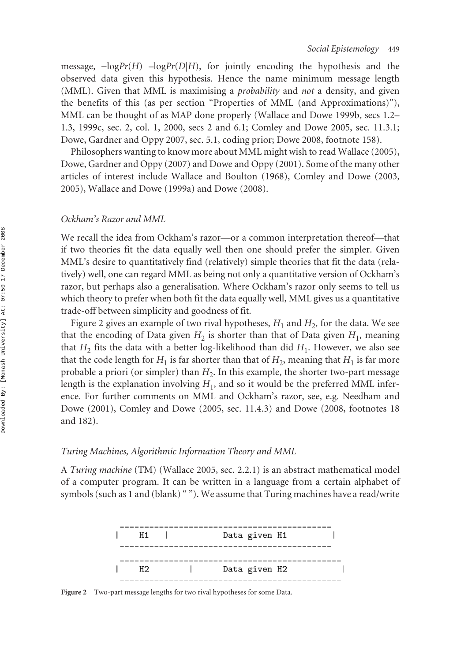message,  $-\log Pr(H)$  –log $Pr(D|H)$ , for jointly encoding the hypothesis and the observed data given this hypothesis. Hence the name minimum message length (MML). Given that MML is maximising a *probability* and *not* a density, and given the benefits of this (as per section "Properties of MML (and Approximations)"), MML can be thought of as MAP done properly (Wallace and Dowe 1999b, secs 1.2– 1.3, 1999c, sec. 2, col. 1, 2000, secs 2 and 6.1; Comley and Dowe 2005, sec. 11.3.1; Dowe, Gardner and Oppy 2007, sec. 5.1, coding prior; Dowe 2008, footnote 158).

Philosophers wanting to know more about MML might wish to read Wallace (2005), Dowe, Gardner and Oppy (2007) and Dowe and Oppy (2001). Some of the many other articles of interest include Wallace and Boulton (1968), Comley and Dowe (2003, 2005), Wallace and Dowe (1999a) and Dowe (2008).

#### *Ockham's Razor and MML*

We recall the idea from Ockham's razor—or a common interpretation thereof—that if two theories fit the data equally well then one should prefer the simpler. Given MML's desire to quantitatively find (relatively) simple theories that fit the data (relatively) well, one can regard MML as being not only a quantitative version of Ockham's razor, but perhaps also a generalisation. Where Ockham's razor only seems to tell us which theory to prefer when both fit the data equally well, MML gives us a quantitative trade-off between simplicity and goodness of fit.

Figure 2 gives an example of two rival hypotheses,  $H_1$  and  $H_2$ , for the data. We see that the encoding of Data given  $H_2$  is shorter than that of Data given  $H_1$ , meaning that  $H_2$  fits the data with a better log-likelihood than did  $H_1$ . However, we also see that the code length for  $H_1$  is far shorter than that of  $H_2$ , meaning that  $H_1$  is far more probable a priori (or simpler) than  $H_2$ . In this example, the shorter two-part message length is the explanation involving  $H_1$ , and so it would be the preferred MML inference. For further comments on MML and Ockham's razor, see, e.g. Needham and Dowe (2001), Comley and Dowe (2005, sec. 11.4.3) and Dowe (2008, footnotes 18 and 182).

#### *Turing Machines, Algorithmic Information Theory and MML*

A *Turing machine* (TM) (Wallace 2005, sec. 2.2.1) is an abstract mathematical model of a computer program. It can be written in a language from a certain alphabet of symbols (such as 1 and (blank) ""). We assume that Turing machines have a read/write



Figure 2 Two-part message lengths for two rival hypotheses for some Data.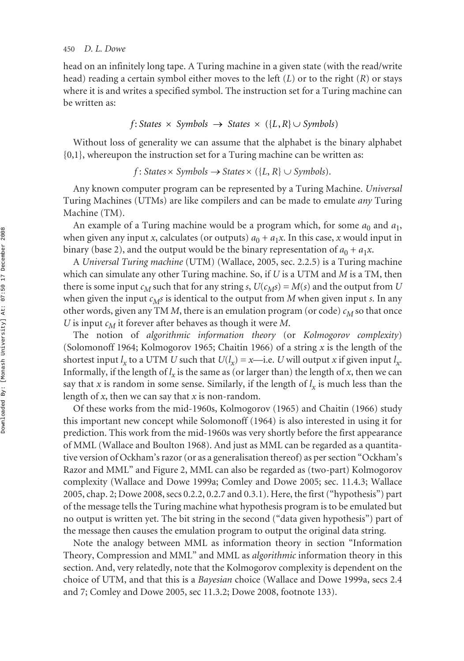head on an infinitely long tape. A Turing machine in a given state (with the read/write head) reading a certain symbol either moves to the left (*L*) or to the right (*R*) or stays where it is and writes a specified symbol. The instruction set for a Turing machine can be written as:

$$
f: States \times Symbols \rightarrow States \times (\{L,R\} \cup Symbols)
$$

Without loss of generality we can assume that the alphabet is the binary alphabet  $\{0,1\}$ , whereupon the instruction set for a Turing machine can be written as:

 $f$ : *States* × *Symbols*  $\rightarrow$  *States* × ({ $L, R$ }  $\cup$  *Symbols*).

Any known computer program can be represented by a Turing Machine. *Universal* Turing Machines (UTMs) are like compilers and can be made to emulate *any* Turing Machine (TM).

An example of a Turing machine would be a program which, for some  $a_0$  and  $a_1$ , when given any input *x*, calculates (or outputs)  $a_0 + a_1x$ . In this case, *x* would input in binary (base 2), and the output would be the binary representation of  $a_0 + a_1x$ .

A *Universal Turing machine* (UTM) (Wallace, 2005, sec. 2.2.5) is a Turing machine which can simulate any other Turing machine. So, if *U* is a UTM and *M* is a TM, then there is some input  $c_M$  such that for any string *s*,  $U(c_M s) = M(s)$  and the output from *U* when given the input  $c_M s$  is identical to the output from  $M$  when given input  $s$ . In any other words, given any TM  $M$ , there is an emulation program (or code)  $c_M$  so that once *U* is input  $c_M$  it forever after behaves as though it were *M*.

The notion of *algorithmic information theory* (or *Kolmogorov complexity*) (Solomonoff 1964; Kolmogorov 1965; Chaitin 1966) of a string *x* is the length of the shortest input  $l_x$  to a UTM *U* such that  $U(l_x) = x$ —i.e. *U* will output *x* if given input  $l_x$ . Informally, if the length of  $l_x$  is the same as (or larger than) the length of *x*, then we can say that *x* is random in some sense. Similarly, if the length of  $l_x$  is much less than the length of *x*, then we can say that *x* is non-random.

Of these works from the mid-1960s, Kolmogorov (1965) and Chaitin (1966) study this important new concept while Solomonoff (1964) is also interested in using it for prediction. This work from the mid-1960s was very shortly before the first appearance of MML (Wallace and Boulton 1968). And just as MML can be regarded as a quantitative version of Ockham's razor (or as a generalisation thereof) as per section "Ockham's Razor and MML" and Figure 2, MML can also be regarded as (two-part) Kolmogorov complexity (Wallace and Dowe 1999a; Comley and Dowe 2005; sec. 11.4.3; Wallace 2005, chap. 2; Dowe 2008, secs 0.2.2, 0.2.7 and 0.3.1). Here, the first ("hypothesis") part of the message tells the Turing machine what hypothesis program is to be emulated but no output is written yet. The bit string in the second ("data given hypothesis") part of the message then causes the emulation program to output the original data string.

Note the analogy between MML as information theory in section "Information Theory, Compression and MML" and MML as *algorithmic* information theory in this section. And, very relatedly, note that the Kolmogorov complexity is dependent on the choice of UTM, and that this is a *Bayesian* choice (Wallace and Dowe 1999a, secs 2.4 and 7; Comley and Dowe 2005, sec 11.3.2; Dowe 2008, footnote 133).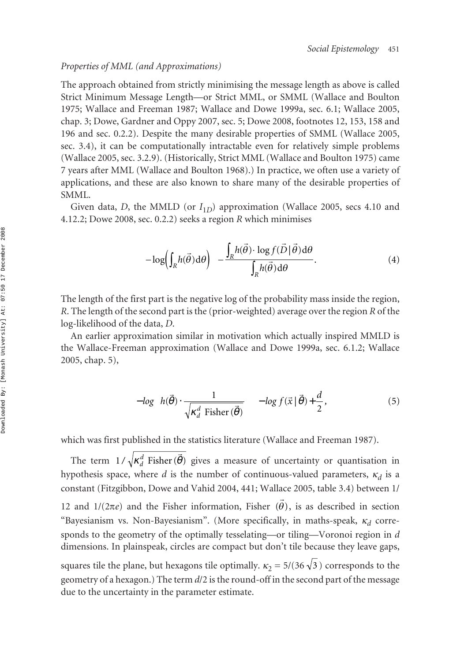## *Properties of MML (and Approximations)*

The approach obtained from strictly minimising the message length as above is called Strict Minimum Message Length—or Strict MML, or SMML (Wallace and Boulton 1975; Wallace and Freeman 1987; Wallace and Dowe 1999a, sec. 6.1; Wallace 2005, chap. 3; Dowe, Gardner and Oppy 2007, sec. 5; Dowe 2008, footnotes 12, 153, 158 and 196 and sec. 0.2.2). Despite the many desirable properties of SMML (Wallace 2005, sec. 3.4), it can be computationally intractable even for relatively simple problems (Wallace 2005, sec. 3.2.9). (Historically, Strict MML (Wallace and Boulton 1975) came 7 years after MML (Wallace and Boulton 1968).) In practice, we often use a variety of applications, and these are also known to share many of the desirable properties of SMML.

Given data, *D*, the MMLD (or  $I<sub>1D</sub>$ ) approximation (Wallace 2005, secs 4.10 and 4.12.2; Dowe 2008, sec. 0.2.2) seeks a region *R* which minimises

$$
-\log\left(\int_{R} h(\vec{\theta}) d\theta\right) - \frac{\int_{R} h(\vec{\theta}) \cdot \log f(\vec{D} \mid \vec{\theta}) d\theta}{\int_{R} h(\vec{\theta}) d\theta}.
$$
\n(4)

The length of the first part is the negative log of the probability mass inside the region, *R*. The length of the second part is the (prior-weighted) average over the region *R* of the log-likelihood of the data, *D*.

An earlier approximation similar in motivation which actually inspired MMLD is the Wallace-Freeman approximation (Wallace and Dowe 1999a, sec. 6.1.2; Wallace 2005, chap. 5),

$$
- \log \left( h(\vec{\theta}) \cdot \frac{1}{\sqrt{\kappa_d^d \text{ Fisher}(\vec{\theta})}} \right) - \log f(\vec{x} | \vec{\theta}) + \frac{d}{2},\tag{5}
$$

which was first published in the statistics literature (Wallace and Freeman 1987).

The term  $1/\sqrt{\kappa_d^d}$  Fisher ( $\vec{\theta}$ ) gives a measure of uncertainty or quantisation in hypothesis space, where *d* is the number of continuous-valued parameters,  $\kappa_d$  is a constant (Fitzgibbon, Dowe and Vahid 2004, 441; Wallace 2005, table 3.4) between 1/ 12 and  $1/(2πe)$  and the Fisher information, Fisher  $(θ)$ , is as described in section "Bayesianism vs. Non-Bayesianism". (More specifically, in maths-speak, <sup>κ</sup>*<sup>d</sup>* corresponds to the geometry of the optimally tesselating—or tiling—Voronoi region in *d* dimensions. In plainspeak, circles are compact but don't tile because they leave gaps, squares tile the plane, but hexagons tile optimally.  $\kappa_2 = 5/(36\sqrt{3})$  corresponds to the geometry of a hexagon.) The term *d*/2 is the round-off in the second part of the message  $\vec{\theta}$ 

due to the uncertainty in the parameter estimate.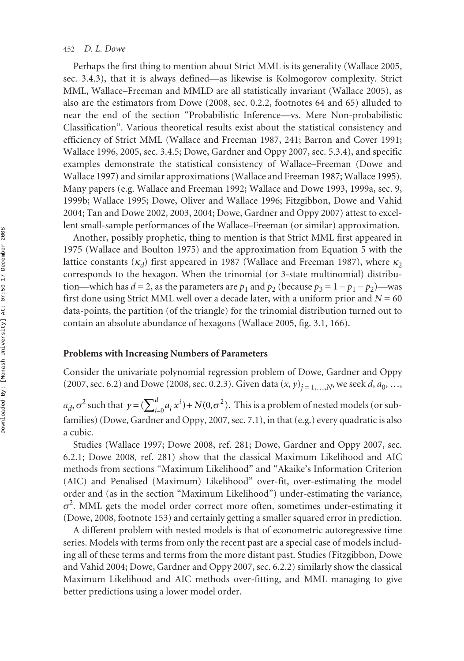#### 452 *D. L. Dowe*

Perhaps the first thing to mention about Strict MML is its generality (Wallace 2005, sec. 3.4.3), that it is always defined—as likewise is Kolmogorov complexity. Strict MML, Wallace–Freeman and MMLD are all statistically invariant (Wallace 2005), as also are the estimators from Dowe (2008, sec. 0.2.2, footnotes 64 and 65) alluded to near the end of the section "Probabilistic Inference—vs. Mere Non-probabilistic Classification". Various theoretical results exist about the statistical consistency and efficiency of Strict MML (Wallace and Freeman 1987, 241; Barron and Cover 1991; Wallace 1996, 2005, sec. 3.4.5; Dowe, Gardner and Oppy 2007, sec. 5.3.4), and specific examples demonstrate the statistical consistency of Wallace–Freeman (Dowe and Wallace 1997) and similar approximations (Wallace and Freeman 1987; Wallace 1995). Many papers (e.g. Wallace and Freeman 1992; Wallace and Dowe 1993, 1999a, sec. 9, 1999b; Wallace 1995; Dowe, Oliver and Wallace 1996; Fitzgibbon, Dowe and Vahid 2004; Tan and Dowe 2002, 2003, 2004; Dowe, Gardner and Oppy 2007) attest to excellent small-sample performances of the Wallace–Freeman (or similar) approximation.

Another, possibly prophetic, thing to mention is that Strict MML first appeared in 1975 (Wallace and Boulton 1975) and the approximation from Equation 5 with the lattice constants ( $\kappa_d$ ) first appeared in 1987 (Wallace and Freeman 1987), where  $\kappa_2$ corresponds to the hexagon. When the trinomial (or 3-state multinomial) distribution—which has  $d = 2$ , as the parameters are  $p_1$  and  $p_2$  (because  $p_3 = 1 - p_1 - p_2$ )—was first done using Strict MML well over a decade later, with a uniform prior and  $N = 60$ data-points, the partition (of the triangle) for the trinomial distribution turned out to contain an absolute abundance of hexagons (Wallace 2005, fig. 3.1, 166).

#### **Problems with Increasing Numbers of Parameters**

Consider the univariate polynomial regression problem of Dowe, Gardner and Oppy (2007, sec. 6.2) and Dowe (2008, sec. 0.2.3). Given data  $(x, y)_{i=1,...,N}$ , we seek *d*,  $a_0$ , …,

 $a_d$ ,  $\sigma^2$  such that  $y = (\sum_{i=0}^d a_i x^i) + N(0, \sigma^2)$ . This is a problem of nested models (or subfamilies) (Dowe, Gardner and Oppy, 2007, sec. 7.1), in that (e.g.) every quadratic is also a cubic. *i*  $= (\sum_{i=0}^{d} a_i x^i) + N(0, \sigma^2).$ 

Studies (Wallace 1997; Dowe 2008, ref. 281; Dowe, Gardner and Oppy 2007, sec. 6.2.1; Dowe 2008, ref. 281) show that the classical Maximum Likelihood and AIC methods from sections "Maximum Likelihood" and "Akaike's Information Criterion (AIC) and Penalised (Maximum) Likelihood" over-fit, over-estimating the model order and (as in the section "Maximum Likelihood") under-estimating the variance,  $\sigma^2$ . MML gets the model order correct more often, sometimes under-estimating it (Dowe, 2008, footnote 153) and certainly getting a smaller squared error in prediction.

A different problem with nested models is that of econometric autoregressive time series. Models with terms from only the recent past are a special case of models including all of these terms and terms from the more distant past. Studies (Fitzgibbon, Dowe and Vahid 2004; Dowe, Gardner and Oppy 2007, sec. 6.2.2) similarly show the classical Maximum Likelihood and AIC methods over-fitting, and MML managing to give better predictions using a lower model order.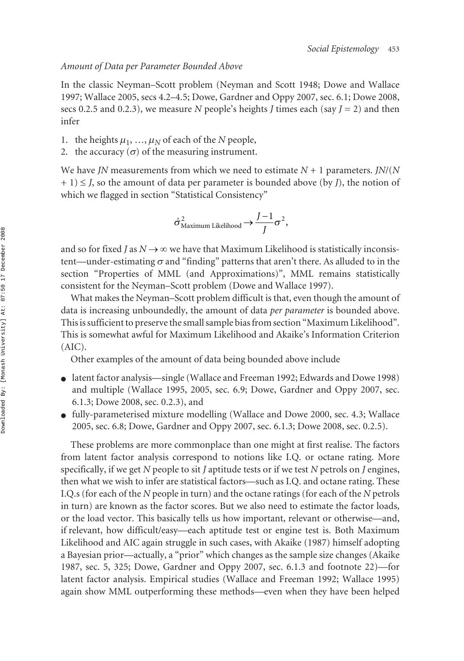## *Amount of Data per Parameter Bounded Above*

In the classic Neyman–Scott problem (Neyman and Scott 1948; Dowe and Wallace 1997; Wallace 2005, secs 4.2–4.5; Dowe, Gardner and Oppy 2007, sec. 6.1; Dowe 2008, secs 0.2.5 and 0.2.3), we measure *N* people's heights *J* times each (say  $J = 2$ ) and then infer

- 1. the heights  $\mu_1$ , ...,  $\mu_N$  of each of the *N* people,
- 2. the accuracy  $(\sigma)$  of the measuring instrument.

We have *JN* measurements from which we need to estimate *N* + 1 parameters. *JN*/(*N* + 1) ≤ *J*, so the amount of data per parameter is bounded above (by *J*), the notion of which we flagged in section "Statistical Consistency"

$$
\hat{\sigma}_{\text{Maximum Likelihood}}^2 \rightarrow \frac{J-1}{J} \sigma^2,
$$

and so for fixed *J* as  $N \rightarrow \infty$  we have that Maximum Likelihood is statistically inconsistent—under-estimating  $\sigma$  and "finding" patterns that aren't there. As alluded to in the section "Properties of MML (and Approximations)", MML remains statistically consistent for the Neyman–Scott problem (Dowe and Wallace 1997).

What makes the Neyman–Scott problem difficult is that, even though the amount of data is increasing unboundedly, the amount of data *per parameter* is bounded above. This is sufficient to preserve the small sample bias from section "Maximum Likelihood". This is somewhat awful for Maximum Likelihood and Akaike's Information Criterion (AIC).

Other examples of the amount of data being bounded above include

- latent factor analysis—single (Wallace and Freeman 1992; Edwards and Dowe 1998) and multiple (Wallace 1995, 2005, sec. 6.9; Dowe, Gardner and Oppy 2007, sec. 6.1.3; Dowe 2008, sec. 0.2.3), and
- fully-parameterised mixture modelling (Wallace and Dowe 2000, sec. 4.3; Wallace 2005, sec. 6.8; Dowe, Gardner and Oppy 2007, sec. 6.1.3; Dowe 2008, sec. 0.2.5).

These problems are more commonplace than one might at first realise. The factors from latent factor analysis correspond to notions like I.Q. or octane rating. More specifically, if we get *N* people to sit *J* aptitude tests or if we test *N* petrols on *J* engines, then what we wish to infer are statistical factors—such as I.Q. and octane rating. These I.Q.s (for each of the *N* people in turn) and the octane ratings (for each of the *N* petrols in turn) are known as the factor scores. But we also need to estimate the factor loads, or the load vector. This basically tells us how important, relevant or otherwise—and, if relevant, how difficult/easy—each aptitude test or engine test is. Both Maximum Likelihood and AIC again struggle in such cases, with Akaike (1987) himself adopting a Bayesian prior—actually, a "prior" which changes as the sample size changes (Akaike 1987, sec. 5, 325; Dowe, Gardner and Oppy 2007, sec. 6.1.3 and footnote 22)—for latent factor analysis. Empirical studies (Wallace and Freeman 1992; Wallace 1995) again show MML outperforming these methods—even when they have been helped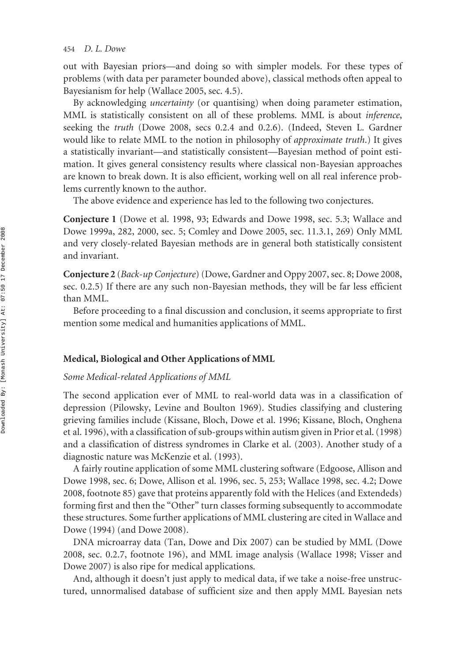out with Bayesian priors—and doing so with simpler models. For these types of problems (with data per parameter bounded above), classical methods often appeal to Bayesianism for help (Wallace 2005, sec. 4.5).

By acknowledging *uncertainty* (or quantising) when doing parameter estimation, MML is statistically consistent on all of these problems. MML is about *inference*, seeking the *truth* (Dowe 2008, secs 0.2.4 and 0.2.6). (Indeed, Steven L. Gardner would like to relate MML to the notion in philosophy of *approximate truth*.) It gives a statistically invariant—and statistically consistent—Bayesian method of point estimation. It gives general consistency results where classical non-Bayesian approaches are known to break down. It is also efficient, working well on all real inference problems currently known to the author.

The above evidence and experience has led to the following two conjectures.

**Conjecture 1** (Dowe et al. 1998, 93; Edwards and Dowe 1998, sec. 5.3; Wallace and Dowe 1999a, 282, 2000, sec. 5; Comley and Dowe 2005, sec. 11.3.1, 269) Only MML and very closely-related Bayesian methods are in general both statistically consistent and invariant.

**Conjecture 2** (*Back-up Conjecture*) (Dowe, Gardner and Oppy 2007, sec. 8; Dowe 2008, sec. 0.2.5) If there are any such non-Bayesian methods, they will be far less efficient than MML.

Before proceeding to a final discussion and conclusion, it seems appropriate to first mention some medical and humanities applications of MML.

#### **Medical, Biological and Other Applications of MML**

# *Some Medical-related Applications of MML*

The second application ever of MML to real-world data was in a classification of depression (Pilowsky, Levine and Boulton 1969). Studies classifying and clustering grieving families include (Kissane, Bloch, Dowe et al. 1996; Kissane, Bloch, Onghena et al. 1996), with a classification of sub-groups within autism given in Prior et al. (1998) and a classification of distress syndromes in Clarke et al. (2003). Another study of a diagnostic nature was McKenzie et al. (1993).

A fairly routine application of some MML clustering software (Edgoose, Allison and Dowe 1998, sec. 6; Dowe, Allison et al. 1996, sec. 5, 253; Wallace 1998, sec. 4.2; Dowe 2008, footnote 85) gave that proteins apparently fold with the Helices (and Extendeds) forming first and then the "Other" turn classes forming subsequently to accommodate these structures. Some further applications of MML clustering are cited in Wallace and Dowe (1994) (and Dowe 2008).

DNA microarray data (Tan, Dowe and Dix 2007) can be studied by MML (Dowe 2008, sec. 0.2.7, footnote 196), and MML image analysis (Wallace 1998; Visser and Dowe 2007) is also ripe for medical applications.

And, although it doesn't just apply to medical data, if we take a noise-free unstructured, unnormalised database of sufficient size and then apply MML Bayesian nets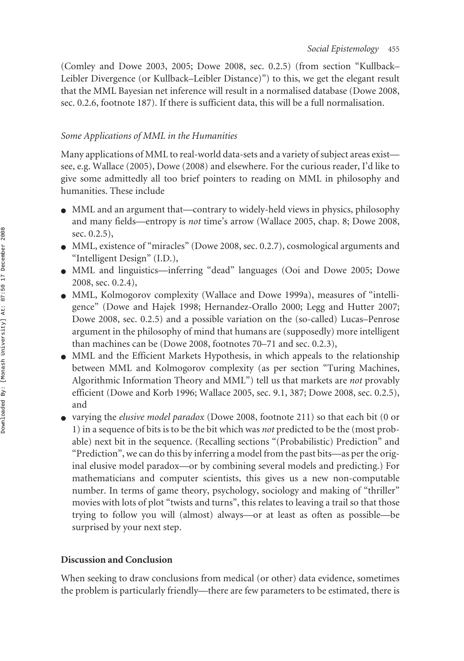(Comley and Dowe 2003, 2005; Dowe 2008, sec. 0.2.5) (from section "Kullback– Leibler Divergence (or Kullback–Leibler Distance)") to this, we get the elegant result that the MML Bayesian net inference will result in a normalised database (Dowe 2008, sec. 0.2.6, footnote 187). If there is sufficient data, this will be a full normalisation.

# *Some Applications of MML in the Humanities*

Many applications of MML to real-world data-sets and a variety of subject areas exist see, e.g. Wallace (2005), Dowe (2008) and elsewhere. For the curious reader, I'd like to give some admittedly all too brief pointers to reading on MML in philosophy and humanities. These include

- MML and an argument that—contrary to widely-held views in physics, philosophy and many fields—entropy is *not* time's arrow (Wallace 2005, chap. 8; Dowe 2008, sec. 0.2.5),
- MML, existence of "miracles" (Dowe 2008, sec. 0.2.7), cosmological arguments and "Intelligent Design" (I.D.),
- MML and linguistics—inferring "dead" languages (Ooi and Dowe 2005; Dowe 2008, sec. 0.2.4),
- MML, Kolmogorov complexity (Wallace and Dowe 1999a), measures of "intelligence" (Dowe and Hajek 1998; Hernandez-Orallo 2000; Legg and Hutter 2007; Dowe 2008, sec. 0.2.5) and a possible variation on the (so-called) Lucas–Penrose argument in the philosophy of mind that humans are (supposedly) more intelligent than machines can be (Dowe 2008, footnotes 70–71 and sec. 0.2.3),
- MML and the Efficient Markets Hypothesis, in which appeals to the relationship between MML and Kolmogorov complexity (as per section "Turing Machines, Algorithmic Information Theory and MML") tell us that markets are *not* provably efficient (Dowe and Korb 1996; Wallace 2005, sec. 9.1, 387; Dowe 2008, sec. 0.2.5), and
- varying the *elusive model paradox* (Dowe 2008, footnote 211) so that each bit (0 or 1) in a sequence of bits is to be the bit which was *not* predicted to be the (most probable) next bit in the sequence. (Recalling sections "(Probabilistic) Prediction" and "Prediction", we can do this by inferring a model from the past bits—as per the original elusive model paradox—or by combining several models and predicting.) For mathematicians and computer scientists, this gives us a new non-computable number. In terms of game theory, psychology, sociology and making of "thriller" movies with lots of plot "twists and turns", this relates to leaving a trail so that those trying to follow you will (almost) always—or at least as often as possible—be surprised by your next step.

# **Discussion and Conclusion**

When seeking to draw conclusions from medical (or other) data evidence, sometimes the problem is particularly friendly—there are few parameters to be estimated, there is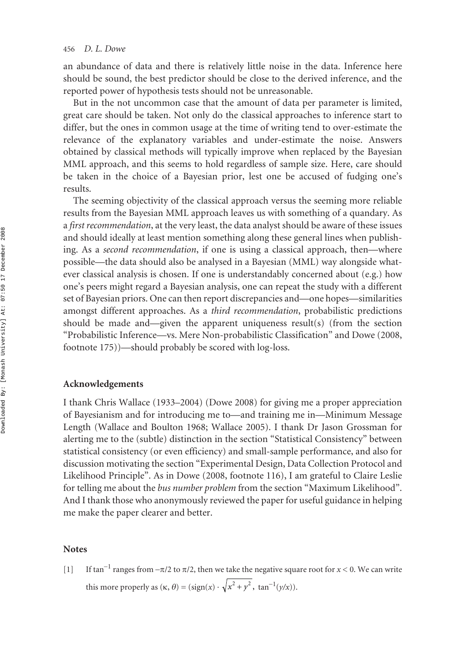an abundance of data and there is relatively little noise in the data. Inference here should be sound, the best predictor should be close to the derived inference, and the reported power of hypothesis tests should not be unreasonable.

But in the not uncommon case that the amount of data per parameter is limited, great care should be taken. Not only do the classical approaches to inference start to differ, but the ones in common usage at the time of writing tend to over-estimate the relevance of the explanatory variables and under-estimate the noise. Answers obtained by classical methods will typically improve when replaced by the Bayesian MML approach, and this seems to hold regardless of sample size. Here, care should be taken in the choice of a Bayesian prior, lest one be accused of fudging one's results.

The seeming objectivity of the classical approach versus the seeming more reliable results from the Bayesian MML approach leaves us with something of a quandary. As a *first recommendation*, at the very least, the data analyst should be aware of these issues and should ideally at least mention something along these general lines when publishing. As a *second recommendation*, if one is using a classical approach, then—where possible—the data should also be analysed in a Bayesian (MML) way alongside whatever classical analysis is chosen. If one is understandably concerned about (e.g.) how one's peers might regard a Bayesian analysis, one can repeat the study with a different set of Bayesian priors. One can then report discrepancies and—one hopes—similarities amongst different approaches. As a *third recommendation*, probabilistic predictions should be made and—given the apparent uniqueness result(s) (from the section "Probabilistic Inference—vs. Mere Non-probabilistic Classification" and Dowe (2008, footnote 175))—should probably be scored with log-loss.

#### **Acknowledgements**

I thank Chris Wallace (1933–2004) (Dowe 2008) for giving me a proper appreciation of Bayesianism and for introducing me to—and training me in—Minimum Message Length (Wallace and Boulton 1968; Wallace 2005). I thank Dr Jason Grossman for alerting me to the (subtle) distinction in the section "Statistical Consistency" between statistical consistency (or even efficiency) and small-sample performance, and also for discussion motivating the section "Experimental Design, Data Collection Protocol and Likelihood Principle". As in Dowe (2008, footnote 116), I am grateful to Claire Leslie for telling me about the *bus number problem* from the section "Maximum Likelihood". And I thank those who anonymously reviewed the paper for useful guidance in helping me make the paper clearer and better.

### **Notes**

 $\lceil 1 \rceil$ If tan<sup>-1</sup> ranges from  $-\pi/2$  to  $\pi/2$ , then we take the negative square root for *x* < 0. We can write this more properly as  $(\kappa, \theta) = (\text{sign}(x) \cdot \sqrt{x^2 + y^2}, \text{tan}^{-1}(y/x)).$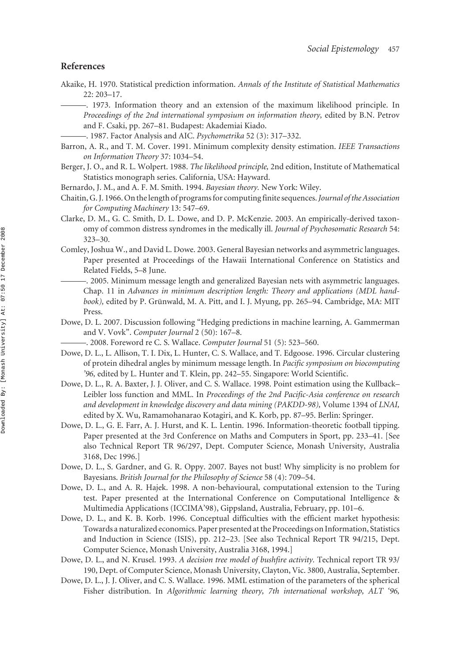#### **References**

- Akaike, H. 1970. Statistical prediction information. *Annals of the Institute of Statistical Mathematics* 22: 203–17.
	- ———. 1973. Information theory and an extension of the maximum likelihood principle. In *Proceedings of the 2nd international symposium on information theory,* edited by B.N. Petrov and F. Csaki, pp. 267–81. Budapest: Akademiai Kiado.
	- ———. 1987. Factor Analysis and AIC. *Psychometrika* 52 (3): 317–332.
- Barron, A. R., and T. M. Cover. 1991. Minimum complexity density estimation. *IEEE Transactions on Information Theory* 37: 1034–54.
- Berger, J. O., and R. L. Wolpert. 1988. *The likelihood principle,* 2nd edition, Institute of Mathematical Statistics monograph series. California, USA: Hayward.
- Bernardo, J. M., and A. F. M. Smith. 1994. *Bayesian theory.* New York: Wiley.
- Chaitin, G. J. 1966. On the length of programs for computing finite sequences.*Journal of the Association for Computing Machinery* 13: 547–69.
- Clarke, D. M., G. C. Smith, D. L. Dowe, and D. P. McKenzie. 2003. An empirically-derived taxonomy of common distress syndromes in the medically ill. *Journal of Psychosomatic Research* 54: 323–30.
- Comley, Joshua W., and David L. Dowe. 2003. General Bayesian networks and asymmetric languages. Paper presented at Proceedings of the Hawaii International Conference on Statistics and Related Fields, 5–8 June.
	- ———. 2005. Minimum message length and generalized Bayesian nets with asymmetric languages. Chap. 11 in *Advances in minimum description length: Theory and applications (MDL handbook),* edited by P. Grünwald, M. A. Pitt, and I. J. Myung, pp. 265–94. Cambridge, MA: MIT Press.
- Dowe, D. L. 2007. Discussion following "Hedging predictions in machine learning, A. Gammerman and V. Vovk". *Computer Journal* 2 (50): 167–8.
	- ———. 2008. Foreword re C. S. Wallace. *Computer Journal* 51 (5): 523–560.
- Dowe, D. L., L. Allison, T. I. Dix, L. Hunter, C. S. Wallace, and T. Edgoose. 1996. Circular clustering of protein dihedral angles by minimum message length. In *Pacific symposium on biocomputing '96,* edited by L. Hunter and T. Klein, pp. 242–55. Singapore: World Scientific.
- Dowe, D. L., R. A. Baxter, J. J. Oliver, and C. S. Wallace. 1998. Point estimation using the Kullback– Leibler loss function and MML. In *Proceedings of the 2nd Pacific-Asia conference on research and development in knowledge discovery and data mining (PAKDD-98),* Volume 1394 of *LNAI,* edited by X. Wu, Ramamohanarao Kotagiri, and K. Korb, pp. 87–95. Berlin: Springer.
- Dowe, D. L., G. E. Farr, A. J. Hurst, and K. L. Lentin. 1996. Information-theoretic football tipping. Paper presented at the 3rd Conference on Maths and Computers in Sport, pp. 233–41. [See also Technical Report TR 96/297, Dept. Computer Science, Monash University, Australia 3168, Dec 1996.]
- Dowe, D. L., S. Gardner, and G. R. Oppy. 2007. Bayes not bust! Why simplicity is no problem for Bayesians. *British Journal for the Philosophy of Science* 58 (4): 709–54.
- Dowe, D. L., and A. R. Hajek. 1998. A non-behavioural, computational extension to the Turing test. Paper presented at the International Conference on Computational Intelligence & Multimedia Applications (ICCIMA'98), Gippsland, Australia, February, pp. 101–6.
- Dowe, D. L., and K. B. Korb. 1996. Conceptual difficulties with the efficient market hypothesis: Towards a naturalized economics. Paper presented at the Proceedings on Information, Statistics and Induction in Science (ISIS), pp. 212–23. [See also Technical Report TR 94/215, Dept. Computer Science, Monash University, Australia 3168, 1994.]
- Dowe, D. L., and N. Krusel. 1993. *A decision tree model of bushfire activity.* Technical report TR 93/ 190, Dept. of Computer Science, Monash University, Clayton, Vic. 3800, Australia, September.
- Dowe, D. L., J. J. Oliver, and C. S. Wallace. 1996. MML estimation of the parameters of the spherical Fisher distribution. In *Algorithmic learning theory, 7th international workshop, ALT '96,*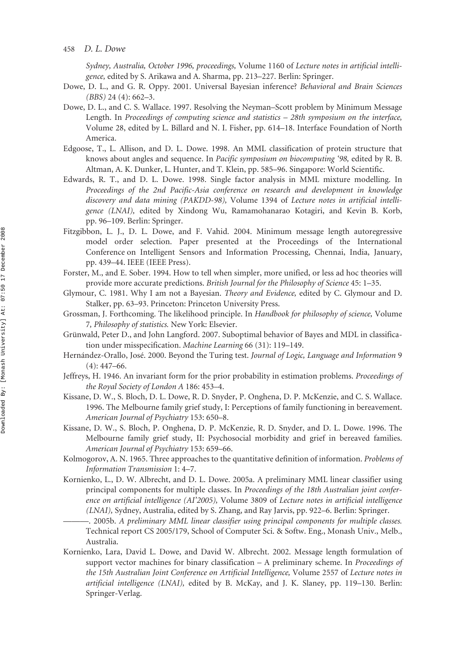*Sydney, Australia, October 1996, proceedings,* Volume 1160 of *Lecture notes in artificial intelligence,* edited by S. Arikawa and A. Sharma, pp. 213–227. Berlin: Springer.

- Dowe, D. L., and G. R. Oppy. 2001. Universal Bayesian inference? *Behavioral and Brain Sciences (BBS)* 24 (4): 662–3.
- Dowe, D. L., and C. S. Wallace. 1997. Resolving the Neyman–Scott problem by Minimum Message Length. In *Proceedings of computing science and statistics – 28th symposium on the interface,* Volume 28, edited by L. Billard and N. I. Fisher, pp. 614–18. Interface Foundation of North America.
- Edgoose, T., L. Allison, and D. L. Dowe. 1998. An MML classification of protein structure that knows about angles and sequence. In *Pacific symposium on biocomputing '98,* edited by R. B. Altman, A. K. Dunker, L. Hunter, and T. Klein, pp. 585–96. Singapore: World Scientific.
- Edwards, R. T., and D. L. Dowe. 1998. Single factor analysis in MML mixture modelling. In *Proceedings of the 2nd Pacific-Asia conference on research and development in knowledge discovery and data mining (PAKDD-98),* Volume 1394 of *Lecture notes in artificial intelligence (LNAI),* edited by Xindong Wu, Ramamohanarao Kotagiri, and Kevin B. Korb, pp. 96–109. Berlin: Springer.
- Fitzgibbon, L. J., D. L. Dowe, and F. Vahid. 2004. Minimum message length autoregressive model order selection. Paper presented at the Proceedings of the International Conference on Intelligent Sensors and Information Processing, Chennai, India, January, pp. 439–44. IEEE (IEEE Press).
- Forster, M., and E. Sober. 1994. How to tell when simpler, more unified, or less ad hoc theories will provide more accurate predictions. *British Journal for the Philosophy of Science* 45: 1–35.
- Glymour, C. 1981. Why I am not a Bayesian. *Theory and Evidence,* edited by C. Glymour and D. Stalker, pp. 63–93. Princeton: Princeton University Press.
- Grossman, J. Forthcoming. The likelihood principle. In *Handbook for philosophy of science,* Volume 7*, Philosophy of statistics.* New York: Elsevier.
- Grünwald, Peter D., and John Langford. 2007. Suboptimal behavior of Bayes and MDL in classification under misspecification. *Machine Learning* 66 (31): 119–149.
- Hernández-Orallo, José. 2000. Beyond the Turing test. *Journal of Logic, Language and Information* 9  $(4): 447 - 66.$
- Jeffreys, H. 1946. An invariant form for the prior probability in estimation problems. *Proceedings of the Royal Society of London A* 186: 453–4.
- Kissane, D. W., S. Bloch, D. L. Dowe, R. D. Snyder, P. Onghena, D. P. McKenzie, and C. S. Wallace. 1996. The Melbourne family grief study, I: Perceptions of family functioning in bereavement. *American Journal of Psychiatry* 153: 650–8.
- Kissane, D. W., S. Bloch, P. Onghena, D. P. McKenzie, R. D. Snyder, and D. L. Dowe. 1996. The Melbourne family grief study, II: Psychosocial morbidity and grief in bereaved families. *American Journal of Psychiatry* 153: 659–66.
- Kolmogorov, A. N. 1965. Three approaches to the quantitative definition of information. *Problems of Information Transmission* 1: 4–7.
- Kornienko, L., D. W. Albrecht, and D. L. Dowe. 2005a. A preliminary MML linear classifier using principal components for multiple classes. In *Proceedings of the 18th Australian joint conference on artificial intelligence (AI'2005),* Volume 3809 of *Lecture notes in artificial intelligence (LNAI),* Sydney, Australia, edited by S. Zhang, and Ray Jarvis, pp. 922–6. Berlin: Springer.
	- ———. 2005b. *A preliminary MML linear classifier using principal components for multiple classes.* Technical report CS 2005/179, School of Computer Sci. & Softw. Eng., Monash Univ., Melb., Australia.
- Kornienko, Lara, David L. Dowe, and David W. Albrecht. 2002. Message length formulation of support vector machines for binary classification – A preliminary scheme. In *Proceedings of the 15th Australian Joint Conference on Artificial Intelligence,* Volume 2557 of *Lecture notes in artificial intelligence (LNAI),* edited by B. McKay, and J. K. Slaney, pp. 119–130. Berlin: Springer-Verlag.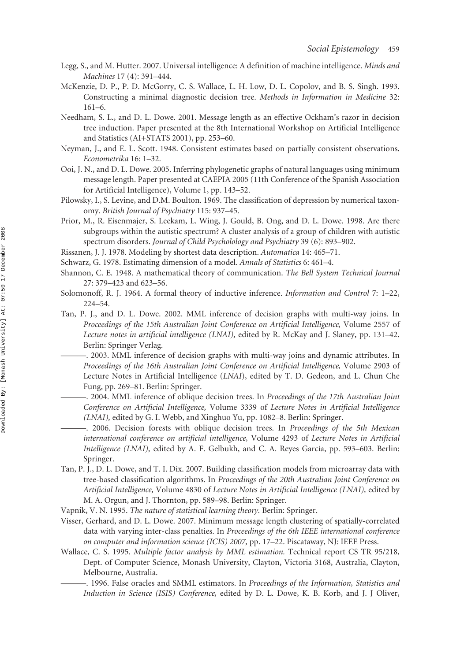- Legg, S., and M. Hutter. 2007. Universal intelligence: A definition of machine intelligence. *Minds and Machines* 17 (4): 391–444.
- McKenzie, D. P., P. D. McGorry, C. S. Wallace, L. H. Low, D. L. Copolov, and B. S. Singh. 1993. Constructing a minimal diagnostic decision tree. *Methods in Information in Medicine* 32: 161–6.
- Needham, S. L., and D. L. Dowe. 2001. Message length as an effective Ockham's razor in decision tree induction. Paper presented at the 8th International Workshop on Artificial Intelligence and Statistics (AI+STATS 2001), pp. 253–60.
- Neyman, J., and E. L. Scott. 1948. Consistent estimates based on partially consistent observations. *Econometrika* 16: 1–32.
- Ooi, J. N., and D. L. Dowe. 2005. Inferring phylogenetic graphs of natural languages using minimum message length. Paper presented at CAEPIA 2005 (11th Conference of the Spanish Association for Artificial Intelligence), Volume 1, pp. 143–52.
- Pilowsky, I., S. Levine, and D.M. Boulton. 1969. The classification of depression by numerical taxonomy. *British Journal of Psychiatry* 115: 937–45.
- Prior, M., R. Eisenmajer, S. Leekam, L. Wing, J. Gould, B. Ong, and D. L. Dowe. 1998. Are there subgroups within the autistic spectrum? A cluster analysis of a group of children with autistic spectrum disorders. *Journal of Child Psycholology and Psychiatry* 39 (6): 893–902.
- Rissanen, J. J. 1978. Modeling by shortest data description. *Automatica* 14: 465–71.
- Schwarz, G. 1978. Estimating dimension of a model. *Annals of Statistics* 6: 461–4.
- Shannon, C. E. 1948. A mathematical theory of communication. *The Bell System Technical Journal* 27: 379–423 and 623–56.
- Solomonoff, R. J. 1964. A formal theory of inductive inference. *Information and Control* 7: 1–22, 224–54.
- Tan, P. J., and D. L. Dowe. 2002. MML inference of decision graphs with multi-way joins. In *Proceedings of the 15th Australian Joint Conference on Artificial Intelligence,* Volume 2557 of *Lecture notes in artificial intelligence (LNAI),* edited by R. McKay and J. Slaney, pp. 131–42. Berlin: Springer Verlag.
	- ———. 2003. MML inference of decision graphs with multi-way joins and dynamic attributes. In *Proceedings of the 16th Australian Joint Conference on Artificial Intelligence,* Volume 2903 of Lecture Notes in Artificial Intelligence (*LNAI*), edited by T. D. Gedeon, and L. Chun Che Fung, pp. 269–81. Berlin: Springer.
	- ———. 2004. MML inference of oblique decision trees. In *Proceedings of the 17th Australian Joint Conference on Artificial Intelligence,* Volume 3339 of *Lecture Notes in Artificial Intelligence (LNAI),* edited by G. I. Webb, and Xinghuo Yu, pp. 1082–8. Berlin: Springer.
- ———. 2006. Decision forests with oblique decision trees. In *Proceedings of the 5th Mexican international conference on artificial intelligence,* Volume 4293 of *Lecture Notes in Artificial Intelligence (LNAI),* edited by A. F. Gelbukh, and C. A. Reyes García, pp. 593–603. Berlin: Springer.
- Tan, P. J., D. L. Dowe, and T. I. Dix. 2007. Building classification models from microarray data with tree-based classification algorithms. In *Proceedings of the 20th Australian Joint Conference on Artificial Intelligence,* Volume 4830 of *Lecture Notes in Artificial Intelligence (LNAI),* edited by M. A. Orgun, and J. Thornton, pp. 589–98. Berlin: Springer.
- Vapnik, V. N. 1995. *The nature of statistical learning theory.* Berlin: Springer.
- Visser, Gerhard, and D. L. Dowe. 2007. Minimum message length clustering of spatially-correlated data with varying inter-class penalties. In *Proceedings of the 6th IEEE international conference on computer and information science (ICIS) 2007,* pp. 17–22. Piscataway, NJ: IEEE Press.
- Wallace, C. S. 1995. *Multiple factor analysis by MML estimation.* Technical report CS TR 95/218, Dept. of Computer Science, Monash University, Clayton, Victoria 3168, Australia, Clayton, Melbourne, Australia.
	- ———. 1996. False oracles and SMML estimators. In *Proceedings of the Information, Statistics and Induction in Science (ISIS) Conference,* edited by D. L. Dowe, K. B. Korb, and J. J Oliver,